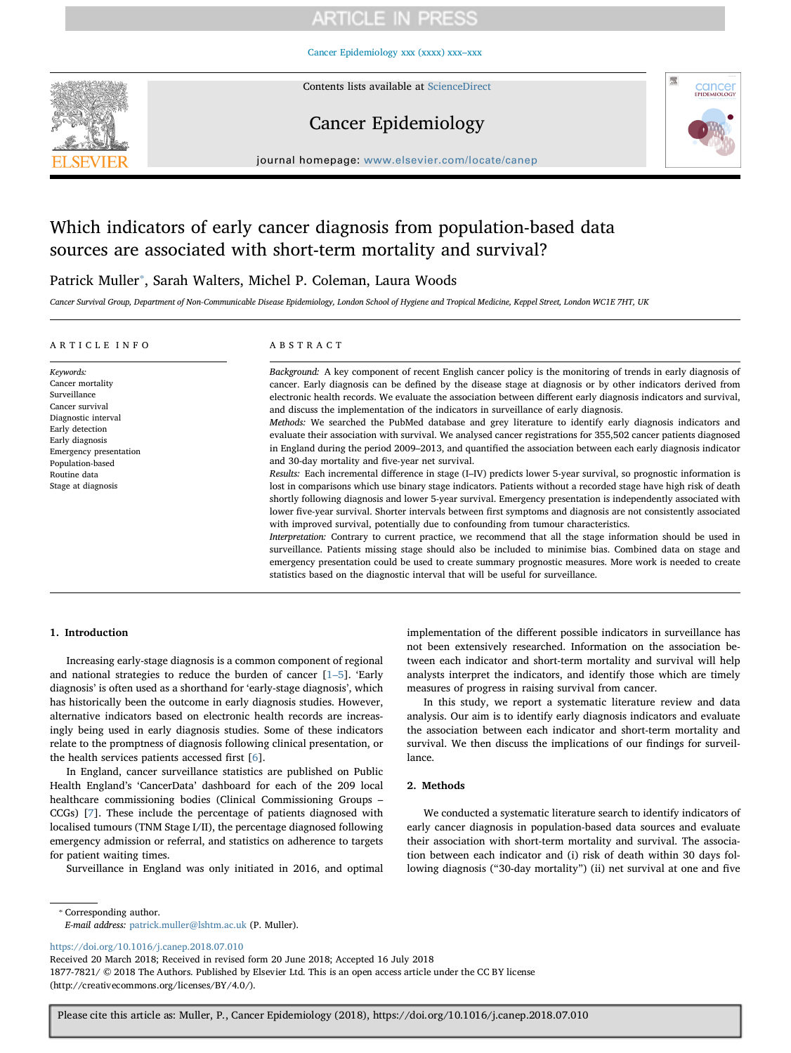#### [Cancer Epidemiology xxx \(xxxx\) xxx–xxx](https://doi.org/10.1016/j.canep.2018.07.010)



Contents lists available at [ScienceDirect](http://www.sciencedirect.com/science/journal/18777821)

## Cancer Epidemiology



journal homepage: [www.elsevier.com/locate/canep](https://www.elsevier.com/locate/canep)

# Which indicators of early cancer diagnosis from population-based data sources are associated with short-term mortality and survival?

# Patrick Muller<sup>\*</sup>, Sarah Walters, Michel P. Coleman, Laura Woods

Cancer Survival Group, Department of Non-Communicable Disease Epidemiology, London School of Hygiene and Tropical Medicine, Keppel Street, London WC1E 7HT, UK

| ARTICLE INFO                                                                                                                                                                                                      | ABSTRACT                                                                                                                                                                                                                                                                                                                                                                                                                                                                                                                                                                                                                                                                                                                                                                                                                                                                                                                                                                                                                                                                                                                                                                                                                                                                                                                                                                                                                                                                                                                                                                                                                                                                                                                                                                                                                                           |
|-------------------------------------------------------------------------------------------------------------------------------------------------------------------------------------------------------------------|----------------------------------------------------------------------------------------------------------------------------------------------------------------------------------------------------------------------------------------------------------------------------------------------------------------------------------------------------------------------------------------------------------------------------------------------------------------------------------------------------------------------------------------------------------------------------------------------------------------------------------------------------------------------------------------------------------------------------------------------------------------------------------------------------------------------------------------------------------------------------------------------------------------------------------------------------------------------------------------------------------------------------------------------------------------------------------------------------------------------------------------------------------------------------------------------------------------------------------------------------------------------------------------------------------------------------------------------------------------------------------------------------------------------------------------------------------------------------------------------------------------------------------------------------------------------------------------------------------------------------------------------------------------------------------------------------------------------------------------------------------------------------------------------------------------------------------------------------|
| Keywords:<br>Cancer mortality<br>Surveillance<br>Cancer survival<br>Diagnostic interval<br>Early detection<br>Early diagnosis<br>Emergency presentation<br>Population-based<br>Routine data<br>Stage at diagnosis | Background: A key component of recent English cancer policy is the monitoring of trends in early diagnosis of<br>cancer. Early diagnosis can be defined by the disease stage at diagnosis or by other indicators derived from<br>electronic health records. We evaluate the association between different early diagnosis indicators and survival,<br>and discuss the implementation of the indicators in surveillance of early diagnosis.<br>Methods: We searched the PubMed database and grey literature to identify early diagnosis indicators and<br>evaluate their association with survival. We analysed cancer registrations for 355,502 cancer patients diagnosed<br>in England during the period 2009–2013, and quantified the association between each early diagnosis indicator<br>and 30-day mortality and five-year net survival.<br>Results: Each incremental difference in stage (I–IV) predicts lower 5-year survival, so prognostic information is<br>lost in comparisons which use binary stage indicators. Patients without a recorded stage have high risk of death<br>shortly following diagnosis and lower 5-year survival. Emergency presentation is independently associated with<br>lower five-year survival. Shorter intervals between first symptoms and diagnosis are not consistently associated<br>with improved survival, potentially due to confounding from tumour characteristics.<br>Interpretation: Contrary to current practice, we recommend that all the stage information should be used in<br>surveillance. Patients missing stage should also be included to minimise bias. Combined data on stage and<br>emergency presentation could be used to create summary prognostic measures. More work is needed to create<br>statistics based on the diagnostic interval that will be useful for surveillance. |

### 1. Introduction

Increasing early-stage diagnosis is a common component of regional and national strategies to reduce the burden of cancer [\[1](#page-8-0)–5]. 'Early diagnosis' is often used as a shorthand for 'early-stage diagnosis', which has historically been the outcome in early diagnosis studies. However, alternative indicators based on electronic health records are increasingly being used in early diagnosis studies. Some of these indicators relate to the promptness of diagnosis following clinical presentation, or the health services patients accessed first [[6\]](#page-8-1).

In England, cancer surveillance statistics are published on Public Health England's 'CancerData' dashboard for each of the 209 local healthcare commissioning bodies (Clinical Commissioning Groups – CCGs) [\[7\]](#page-8-2). These include the percentage of patients diagnosed with localised tumours (TNM Stage I/II), the percentage diagnosed following emergency admission or referral, and statistics on adherence to targets for patient waiting times.

Surveillance in England was only initiated in 2016, and optimal

implementation of the different possible indicators in surveillance has not been extensively researched. Information on the association between each indicator and short-term mortality and survival will help analysts interpret the indicators, and identify those which are timely measures of progress in raising survival from cancer.

In this study, we report a systematic literature review and data analysis. Our aim is to identify early diagnosis indicators and evaluate the association between each indicator and short-term mortality and survival. We then discuss the implications of our findings for surveillance.

#### 2. Methods

We conducted a systematic literature search to identify indicators of early cancer diagnosis in population-based data sources and evaluate their association with short-term mortality and survival. The association between each indicator and (i) risk of death within 30 days following diagnosis ("30-day mortality") (ii) net survival at one and five

<span id="page-0-0"></span>⁎ Corresponding author.

E-mail address: [patrick.muller@lshtm.ac.uk](mailto:patrick.muller@lshtm.ac.uk) (P. Muller).

<https://doi.org/10.1016/j.canep.2018.07.010>

Received 20 March 2018; Received in revised form 20 June 2018; Accepted 16 July 2018 1877-7821/ © 2018 The Authors. Published by Elsevier Ltd. This is an open access article under the CC BY license (http://creativecommons.org/licenses/BY/4.0/).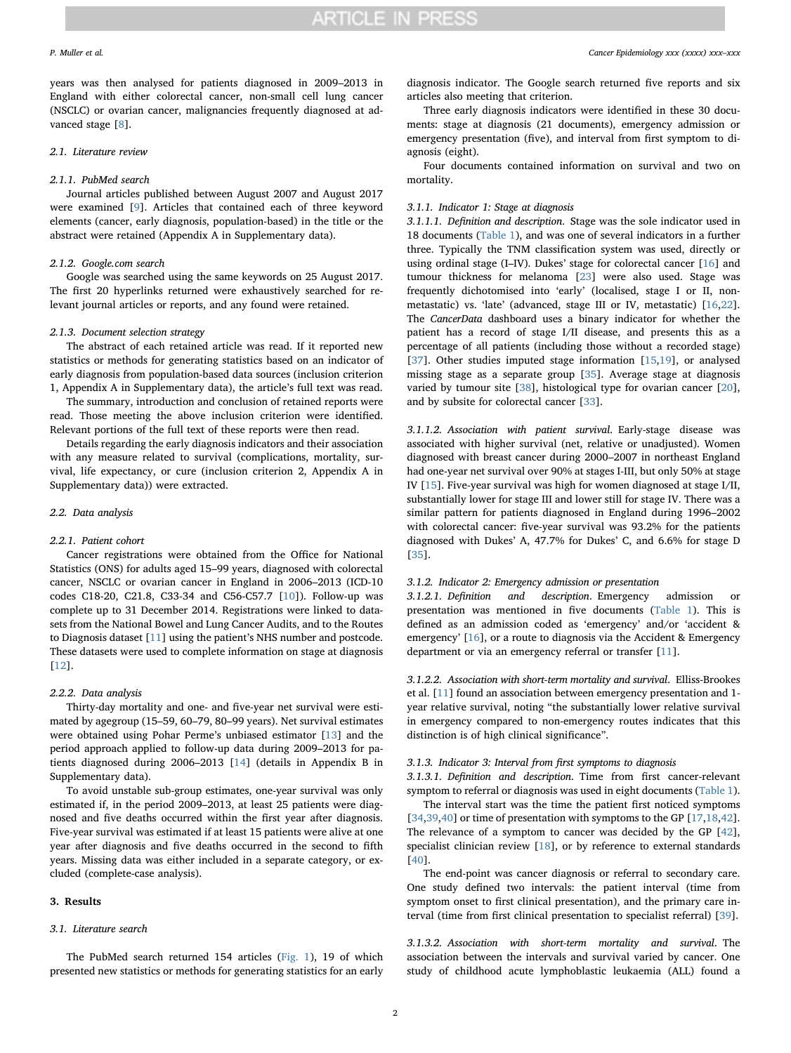years was then analysed for patients diagnosed in 2009–2013 in England with either colorectal cancer, non-small cell lung cancer (NSCLC) or ovarian cancer, malignancies frequently diagnosed at ad-vanced stage [\[8\]](#page-8-3).

#### 2.1. Literature review

### 2.1.1. PubMed search

Journal articles published between August 2007 and August 2017 were examined [[9](#page-8-4)]. Articles that contained each of three keyword elements (cancer, early diagnosis, population-based) in the title or the abstract were retained (Appendix A in Supplementary data).

### 2.1.2. Google.com search

Google was searched using the same keywords on 25 August 2017. The first 20 hyperlinks returned were exhaustively searched for relevant journal articles or reports, and any found were retained.

#### 2.1.3. Document selection strategy

The abstract of each retained article was read. If it reported new statistics or methods for generating statistics based on an indicator of early diagnosis from population-based data sources (inclusion criterion 1, Appendix A in Supplementary data), the article's full text was read.

The summary, introduction and conclusion of retained reports were read. Those meeting the above inclusion criterion were identified. Relevant portions of the full text of these reports were then read.

Details regarding the early diagnosis indicators and their association with any measure related to survival (complications, mortality, survival, life expectancy, or cure (inclusion criterion 2, Appendix A in Supplementary data)) were extracted.

### 2.2. Data analysis

#### 2.2.1. Patient cohort

Cancer registrations were obtained from the Office for National Statistics (ONS) for adults aged 15–99 years, diagnosed with colorectal cancer, NSCLC or ovarian cancer in England in 2006–2013 (ICD-10 codes C18-20, C21.8, C33-34 and C56-C57.7 [\[10](#page-8-5)]). Follow-up was complete up to 31 December 2014. Registrations were linked to datasets from the National Bowel and Lung Cancer Audits, and to the Routes to Diagnosis dataset [[11\]](#page-8-6) using the patient's NHS number and postcode. These datasets were used to complete information on stage at diagnosis [[12\]](#page-8-7).

### 2.2.2. Data analysis

Thirty-day mortality and one- and five-year net survival were estimated by agegroup (15–59, 60–79, 80–99 years). Net survival estimates were obtained using Pohar Perme's unbiased estimator [\[13](#page-8-8)] and the period approach applied to follow-up data during 2009–2013 for patients diagnosed during 2006–2013 [\[14](#page-8-9)] (details in Appendix B in Supplementary data).

To avoid unstable sub-group estimates, one-year survival was only estimated if, in the period 2009–2013, at least 25 patients were diagnosed and five deaths occurred within the first year after diagnosis. Five-year survival was estimated if at least 15 patients were alive at one year after diagnosis and five deaths occurred in the second to fifth years. Missing data was either included in a separate category, or excluded (complete-case analysis).

### 3. Results

#### 3.1. Literature search

The PubMed search returned 154 articles ([Fig. 1\)](#page-2-0), 19 of which presented new statistics or methods for generating statistics for an early

diagnosis indicator. The Google search returned five reports and six articles also meeting that criterion.

Three early diagnosis indicators were identified in these 30 documents: stage at diagnosis (21 documents), emergency admission or emergency presentation (five), and interval from first symptom to diagnosis (eight).

Four documents contained information on survival and two on mortality.

#### 3.1.1. Indicator 1: Stage at diagnosis

3.1.1.1. Definition and description. Stage was the sole indicator used in 18 documents ([Table 1](#page-3-0)), and was one of several indicators in a further three. Typically the TNM classification system was used, directly or using ordinal stage (I–IV). Dukes' stage for colorectal cancer [\[16](#page-8-10)] and tumour thickness for melanoma [[23\]](#page-8-11) were also used. Stage was frequently dichotomised into 'early' (localised, stage I or II, nonmetastatic) vs. 'late' (advanced, stage III or IV, metastatic) [[16,](#page-8-10)[22](#page-8-12)]. The CancerData dashboard uses a binary indicator for whether the patient has a record of stage I/II disease, and presents this as a percentage of all patients (including those without a recorded stage) [[37\]](#page-8-13). Other studies imputed stage information [[15,](#page-8-14)[19\]](#page-8-15), or analysed missing stage as a separate group [\[35](#page-8-16)]. Average stage at diagnosis varied by tumour site [\[38](#page-8-17)], histological type for ovarian cancer [\[20](#page-8-18)], and by subsite for colorectal cancer [[33\]](#page-8-19).

3.1.1.2. Association with patient survival. Early-stage disease was associated with higher survival (net, relative or unadjusted). Women diagnosed with breast cancer during 2000–2007 in northeast England had one-year net survival over 90% at stages I-III, but only 50% at stage IV [\[15](#page-8-14)]. Five-year survival was high for women diagnosed at stage I/II, substantially lower for stage III and lower still for stage IV. There was a similar pattern for patients diagnosed in England during 1996–2002 with colorectal cancer: five-year survival was 93.2% for the patients diagnosed with Dukes' A, 47.7% for Dukes' C, and 6.6% for stage D [[35\]](#page-8-16).

#### 3.1.2. Indicator 2: Emergency admission or presentation

3.1.2.1. Definition and description. Emergency admission presentation was mentioned in five documents ([Table 1\)](#page-3-0). This is defined as an admission coded as 'emergency' and/or 'accident & emergency' [[16](#page-8-10)], or a route to diagnosis via the Accident & Emergency department or via an emergency referral or transfer [[11\]](#page-8-6).

3.1.2.2. Association with short-term mortality and survival. Elliss-Brookes et al. [\[11](#page-8-6)] found an association between emergency presentation and 1 year relative survival, noting "the substantially lower relative survival in emergency compared to non-emergency routes indicates that this distinction is of high clinical significance".

#### 3.1.3. Indicator 3: Interval from first symptoms to diagnosis

3.1.3.1. Definition and description. Time from first cancer-relevant symptom to referral or diagnosis was used in eight documents ([Table 1](#page-3-0)).

The interval start was the time the patient first noticed symptoms [[34](#page-8-20)[,39](#page-8-21)[,40](#page-8-22)] or time of presentation with symptoms to the GP [[17,](#page-8-23)[18,](#page-8-24)[42](#page-8-25)]. The relevance of a symptom to cancer was decided by the GP [\[42](#page-8-25)], specialist clinician review [[18\]](#page-8-24), or by reference to external standards [[40\]](#page-8-22).

The end-point was cancer diagnosis or referral to secondary care. One study defined two intervals: the patient interval (time from symptom onset to first clinical presentation), and the primary care interval (time from first clinical presentation to specialist referral) [[39\]](#page-8-21).

3.1.3.2. Association with short-term mortality and survival. The association between the intervals and survival varied by cancer. One study of childhood acute lymphoblastic leukaemia (ALL) found a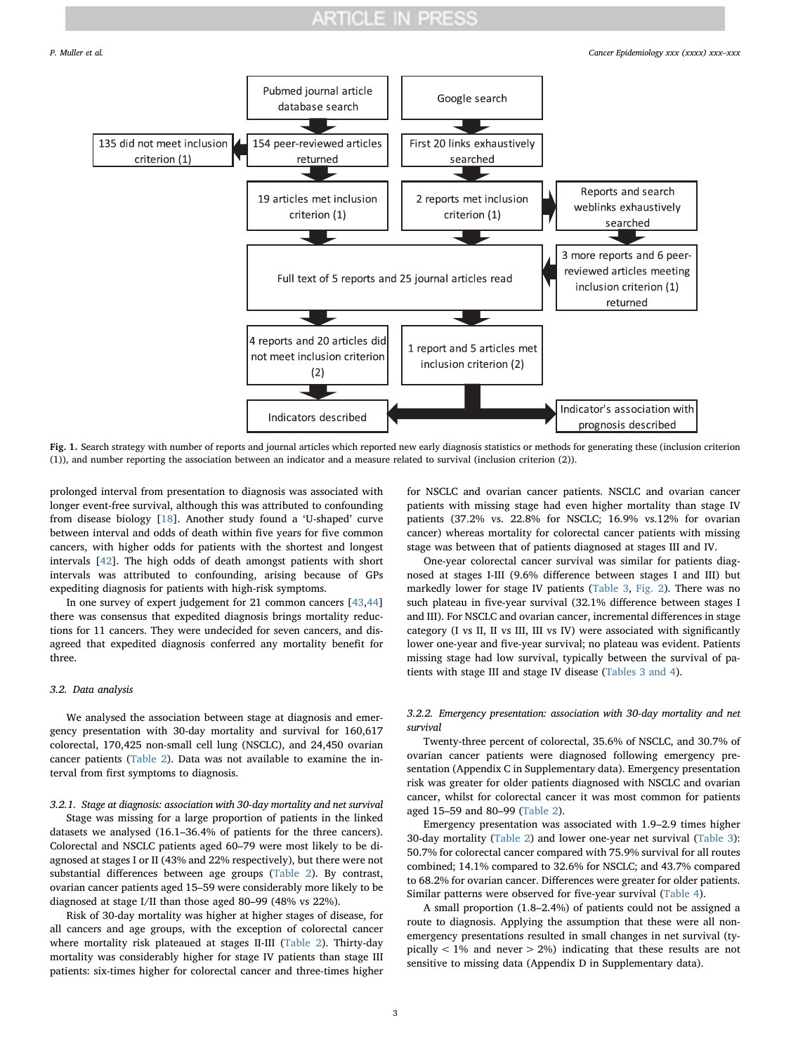<span id="page-2-0"></span>P. Muller et al. *Cancer Epidemiology xxx (xxxx) xxx–xxx*



Fig. 1. Search strategy with number of reports and journal articles which reported new early diagnosis statistics or methods for generating these (inclusion criterion (1)), and number reporting the association between an indicator and a measure related to survival (inclusion criterion (2)).

prolonged interval from presentation to diagnosis was associated with longer event-free survival, although this was attributed to confounding from disease biology [\[18](#page-8-24)]. Another study found a 'U-shaped' curve between interval and odds of death within five years for five common cancers, with higher odds for patients with the shortest and longest intervals [\[42](#page-8-25)]. The high odds of death amongst patients with short intervals was attributed to confounding, arising because of GPs expediting diagnosis for patients with high-risk symptoms.

In one survey of expert judgement for 21 common cancers [\[43](#page-8-26)[,44](#page-8-27)] there was consensus that expedited diagnosis brings mortality reductions for 11 cancers. They were undecided for seven cancers, and disagreed that expedited diagnosis conferred any mortality benefit for three.

#### 3.2. Data analysis

We analysed the association between stage at diagnosis and emergency presentation with 30-day mortality and survival for 160,617 colorectal, 170,425 non-small cell lung (NSCLC), and 24,450 ovarian cancer patients [\(Table 2\)](#page-5-0). Data was not available to examine the interval from first symptoms to diagnosis.

#### 3.2.1. Stage at diagnosis: association with 30-day mortality and net survival

Stage was missing for a large proportion of patients in the linked datasets we analysed (16.1–36.4% of patients for the three cancers). Colorectal and NSCLC patients aged 60–79 were most likely to be diagnosed at stages I or II (43% and 22% respectively), but there were not substantial differences between age groups ([Table 2\)](#page-5-0). By contrast, ovarian cancer patients aged 15–59 were considerably more likely to be diagnosed at stage I/II than those aged 80–99 (48% vs 22%).

Risk of 30-day mortality was higher at higher stages of disease, for all cancers and age groups, with the exception of colorectal cancer where mortality risk plateaued at stages II-III [\(Table 2](#page-5-0)). Thirty-day mortality was considerably higher for stage IV patients than stage III patients: six-times higher for colorectal cancer and three-times higher

for NSCLC and ovarian cancer patients. NSCLC and ovarian cancer patients with missing stage had even higher mortality than stage IV patients (37.2% vs. 22.8% for NSCLC; 16.9% vs.12% for ovarian cancer) whereas mortality for colorectal cancer patients with missing stage was between that of patients diagnosed at stages III and IV.

One-year colorectal cancer survival was similar for patients diagnosed at stages I-III (9.6% difference between stages I and III) but markedly lower for stage IV patients [\(Table 3,](#page-6-0) [Fig. 2](#page-6-1)). There was no such plateau in five-year survival (32.1% difference between stages I and III). For NSCLC and ovarian cancer, incremental differences in stage category (I vs II, II vs III, III vs IV) were associated with significantly lower one-year and five-year survival; no plateau was evident. Patients missing stage had low survival, typically between the survival of patients with stage III and stage IV disease [\(Tables 3 and 4\)](#page-6-0).

#### 3.2.2. Emergency presentation: association with 30-day mortality and net survival

Twenty-three percent of colorectal, 35.6% of NSCLC, and 30.7% of ovarian cancer patients were diagnosed following emergency presentation (Appendix C in Supplementary data). Emergency presentation risk was greater for older patients diagnosed with NSCLC and ovarian cancer, whilst for colorectal cancer it was most common for patients aged 15–59 and 80–99 ([Table 2](#page-5-0)).

Emergency presentation was associated with 1.9–2.9 times higher 30-day mortality [\(Table 2](#page-5-0)) and lower one-year net survival ([Table 3](#page-6-0)): 50.7% for colorectal cancer compared with 75.9% survival for all routes combined; 14.1% compared to 32.6% for NSCLC; and 43.7% compared to 68.2% for ovarian cancer. Differences were greater for older patients. Similar patterns were observed for five-year survival [\(Table 4\)](#page-7-0).

A small proportion (1.8–2.4%) of patients could not be assigned a route to diagnosis. Applying the assumption that these were all nonemergency presentations resulted in small changes in net survival (typically  $<$  1% and never  $>$  2%) indicating that these results are not sensitive to missing data (Appendix D in Supplementary data).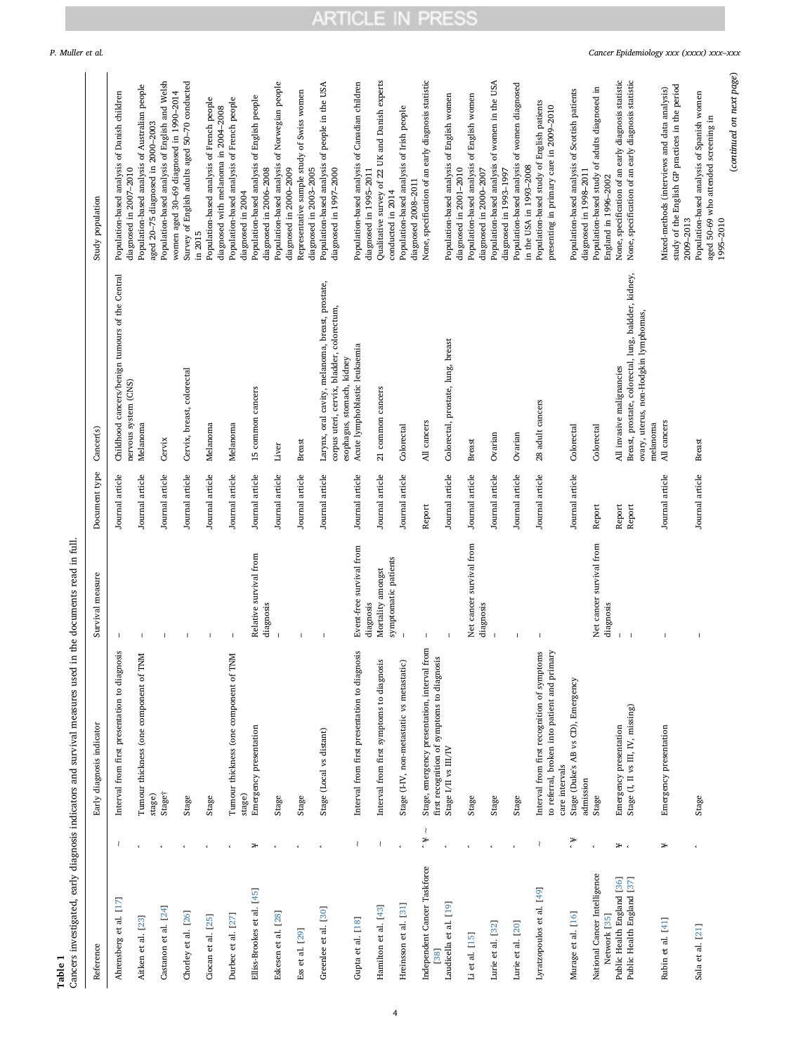|        | ∹-     |
|--------|--------|
| -      | ۲      |
| ω      | d.     |
| −<br>≏ | Ċ      |
|        | ۴<br>ς |
| £      | Ċ      |

Table 1<br>Cancers investigated, early diagnosis indicators and survival measures used in the documents read in full. Cancers investigated, early diagnosis indicators and survival measures used in the documents read in full.

<span id="page-3-0"></span>

| Reference                                    |         | Early diagnosis indicator                                                                      | Survival measure                          | Document type   | Cancer(s)                                                                                     | Study population                                                                                |
|----------------------------------------------|---------|------------------------------------------------------------------------------------------------|-------------------------------------------|-----------------|-----------------------------------------------------------------------------------------------|-------------------------------------------------------------------------------------------------|
| Ahrensberg et al. [17]                       | ₹       | Interval from first presentation to diagnosis                                                  | $\mathbf{I}$                              | Journal article | Childhood cancers/benign tumours of the Central                                               | Population-based analysis of Danish children                                                    |
|                                              |         |                                                                                                |                                           |                 | nervous system (CNS)                                                                          | diagnosed in 2007-2010                                                                          |
| Aitken et al. [23]                           |         | Tumour thickness (one component of TNM<br>stage)                                               |                                           | Journal article | Melanoma                                                                                      | Population-based analysis of Australian people<br>aged 20-75 diagnosed in 2000-2003             |
| Castanon et al. [24]                         |         | Stage†                                                                                         |                                           | Journal article | Cervix                                                                                        | Population-based analysis of English and Welsh<br>women aged 30-69 diagnosed in 1990-2014       |
| Chorley et al. [26]                          |         | Stage                                                                                          |                                           | Journal article | Cervix, breast, colorectal                                                                    | Survey of English adults aged 50-70 conducted                                                   |
| Ciocan et al. [25]                           |         |                                                                                                |                                           |                 |                                                                                               | Population-based analysis of French people<br>in 2015                                           |
|                                              |         | Stage                                                                                          |                                           | Journal article | Melanoma                                                                                      | diagnosed with melanoma in 2004-2008                                                            |
| Durbec et al. [27]                           |         | Tumour thickness (one component of TNM                                                         | I                                         | Journal article | Melanoma                                                                                      | Population-based analysis of French people                                                      |
| Elliss-Brookes et al. [45]                   | ₩       | stage)                                                                                         | Relative survival from                    | Journal article | 15 common cancers                                                                             | Population-based analysis of English people<br>diagnosed in 2004                                |
|                                              |         | Emergency presentation                                                                         | diagnosis                                 |                 |                                                                                               | diagnosed in 2006-2008                                                                          |
| Eskesen et al. [28]                          |         | Stage                                                                                          |                                           | Journal article | Liver                                                                                         | Population-based analysis of Norwegian people<br>diagnosed in 2000-2009                         |
| Ess et al. [29]                              |         | Stage                                                                                          |                                           | Journal article | <b>Breast</b>                                                                                 | Representative sample study of Swiss women<br>diagnosed in 2003-2005                            |
| Greenlee et al. [30]                         |         | Stage (Local vs distant)                                                                       | $\blacksquare$                            | Journal article | Larynx, oral cavity, melanoma, breast, prostate,                                              | Population-based analysis of people in the USA                                                  |
|                                              |         |                                                                                                |                                           |                 | corpus uteri, cervix, bladder, colorectum,<br>esophagus, stomach, kidney                      | diagnosed in 1997-2000                                                                          |
| Gupta et al. [18]                            |         | Interval from first presentation to diagnosis                                                  | Event-free survival from<br>diagnosis     | Journal article | Acute lymphoblastic leukaemia                                                                 | Population-based analysis of Canadian children<br>diagnosed in 1995-2011                        |
| Hamilton et al. [43]                         | ₹       | Interval from first symptoms to diagnosis                                                      | symptomatic patients<br>Mortality amongst | Journal article | 21 common cancers                                                                             | Qualitative survey of 22 UK and Danish experts<br>conducted in 2014                             |
| Hreinsson et al. [31]                        |         | Stage (I-IV, non-metastatic vs metastatic)                                                     |                                           | Journal article | Colorectal                                                                                    | Population-based analysis of Irish people                                                       |
|                                              |         |                                                                                                |                                           |                 |                                                                                               | diagnosed 2008-2011                                                                             |
| Independent Cancer Taskforce<br>[38]         | ₹<br>¥, | rom<br>first recognition of symptoms to diagnosis<br>Stage, emergency presentation, interval f |                                           | Report          | All cancers                                                                                   | None, specification of an early diagnosis statistic                                             |
| Laudicella et al. [19]                       |         | Stage I/II vs III/IV                                                                           |                                           | Journal article | Colorectal, prostate, lung, breast                                                            | Population-based analysis of English women                                                      |
|                                              |         |                                                                                                |                                           |                 |                                                                                               | diagnosed in 2001-2010                                                                          |
| Li et al. [15]                               |         | Stage                                                                                          | Net cancer survival from<br>diagnosis     | Journal article | Breast                                                                                        | Population-based analysis of English women<br>diagnosed in 2000-2007                            |
| Lurie et al. [32]                            |         | Stage                                                                                          |                                           | Journal article | Ovarian                                                                                       | Population-based analysis of women in the USA                                                   |
| Lurie et al. [20]                            |         | Stage                                                                                          |                                           | Journal article | Ovarian                                                                                       | Population-based analysis of women diagnosed<br>diagnosed in 1993-1997                          |
|                                              |         |                                                                                                |                                           |                 |                                                                                               | in the USA in 1993-2008                                                                         |
| Lyratzopoulos et al. [49]                    | ₹       | to referral, broken into patient and primary<br>Interval from first recognition of symptoms    |                                           | Journal article | 28 adult cancers                                                                              | Population-based study of English patients<br>presenting in primary care in 2009-2010           |
|                                              |         | care intervals                                                                                 |                                           |                 |                                                                                               |                                                                                                 |
| Murage et al. [16]                           | ¥,      | Stage (Duke's AB vs CD), Emergency<br>admission                                                |                                           | Journal article | Colorectal                                                                                    | Population-based analysis of Scottish patients<br>diagnosed in 1998-2011                        |
| National Cancer Intelligence<br>Network [35] |         | Stage                                                                                          | Net cancer survival from<br>diagnosis     | Report          | Colorectal                                                                                    | Population-based study of adults diagnosed in<br>England in 1996-2002                           |
| Public Health England [36]                   | ¥,      | Emergency presentation                                                                         |                                           | Report          | All invasive malignancies                                                                     | None, specification of an early diagnosis statistic                                             |
| Public Health England [37]                   |         | Stage (I, II vs III, IV, missing)                                                              |                                           | Report          | Breast, prostate, colorectal, lung, baldder, kidney,<br>ovary, uterus, non-Hodgkin lymphomas, | None, specification of an early diagnosis statistic                                             |
|                                              |         |                                                                                                |                                           |                 | melanoma                                                                                      |                                                                                                 |
| Rubin et al. [41]                            | ₩       | Emergency presentation                                                                         |                                           | Journal article | All cancers                                                                                   | study of the English GP practices in the period<br>Mixed-methods (interviews and data analysis) |
| Sala et al. [21]                             |         | Stage                                                                                          |                                           | Journal article | Breast                                                                                        | Population-based analysis of Spanish women<br>2009-2013                                         |
|                                              |         |                                                                                                |                                           |                 |                                                                                               | aged 50-69 who attended screening in<br>1995-2010                                               |

(continued on next page)

 $\left( {continued\,\, on\,\, next\, page} \right)$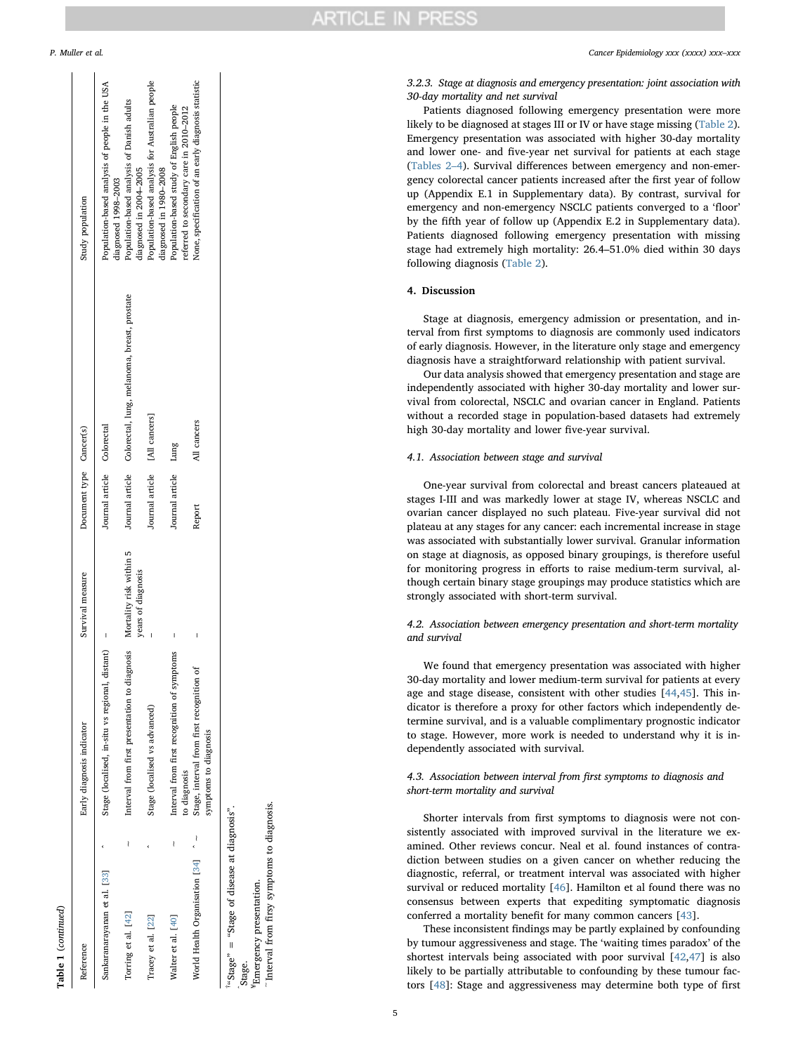| Ξ<br>г |  |
|--------|--|
|        |  |
| ٦<br>٠ |  |

ЕJ

| Reference                                                   |   | Early diagnosis indicator                                                          | Survival measure        | Document type Cancer(s)       |                                                              | Study population                                                                               |
|-------------------------------------------------------------|---|------------------------------------------------------------------------------------|-------------------------|-------------------------------|--------------------------------------------------------------|------------------------------------------------------------------------------------------------|
| Sankaranarayanan et al. [33]                                |   | Stage (localised, in-situ vs regional, distant)                                    |                         | Journal article Colorectal    |                                                              | Population-based analysis of people in the USA                                                 |
| Torring et al. [42]                                         | l | Interval from first presentation to diagnosis                                      | Mortality risk within 5 |                               | Journal article Colorectal, lung, melanoma, breast, prostate | Population-based analysis of Danish adults<br>diagnosed 1998-2003                              |
| Tracey et al. [22]                                          |   | Stage (localised vs advanced)                                                      | years of diagnosis      | Journal article [All cancers] |                                                              | Population-based analysis for Australian people<br>diagnosed in 2004-2005                      |
| Walter et al. [40]                                          | l | Interval from first recognition of symptoms                                        |                         | Journal article Lung          |                                                              | Population-based study of English people<br>diagnosed in 1980-2008                             |
| World Health Organisation $[34]$ $\sim$                     |   | Stage, interval from first recognition of<br>symptoms to diagnosis<br>to diagnosis |                         | Report                        | All cancers                                                  | None, specification of an early diagnosis statistic<br>referred to secondary care in 2010-2012 |
| ""Stage" = "Stage of disease at diagnosis".<br>$C_{12}$ ora |   |                                                                                    |                         |                               |                                                              |                                                                                                |

3.2.3. Stage at diagnosis and emergency presentation: joint association with 30-day mortality and net survival

Patients diagnosed following emergency presentation were more likely to be diagnosed at stages III or IV or have stage missing [\(Table 2](#page-5-0)). Emergency presentation was associated with higher 30-day mortality and lower one- and five-year net survival for patients at each stage ([Tables 2](#page-5-0) – 4). Survival di fferences between emergency and non-emergency colorectal cancer patients increased after the first year of follow up (Appendix E.1 in Supplementary data). By contrast, survival for emergency and non-emergency NSCLC patients converged to a ' floor ' by the fifth year of follow up (Appendix E.2 in Supplementary data). Patients diagnosed following emergency presentation with missing stage had extremely high mortality: 26.4 –51.0% died within 30 days following diagnosis [\(Table 2\)](#page-5-0).

#### 4. Discussion

Stage at diagnosis, emergency admission or presentation, and interval from first symptoms to diagnosis are commonly used indicators of early diagnosis. However, in the literature only stage and emergency diagnosis have a straightforward relationship with patient survival.

Our data analysis showed that emergency presentation and stage are independently associated with higher 30-day mortality and lower survival from colorectal, NSCLC and ovarian cancer in England. Patients without a recorded stage in population-based datasets had extremely high 30-day mortality and lower five-year survival.

#### 4.1. Association between stage and survival

One-year survival from colorectal and breast cancers plateaued at stages I-III and was markedly lower at stage IV, whereas NSCLC and ovarian cancer displayed no such plateau. Five-year survival did not plateau at any stages for any cancer: each incremental increase in stage was associated with substantially lower survival. Granular information on stage at diagnosis, as opposed binary groupings, is therefore useful for monitoring progress in e fforts to raise medium-term survival, although certain binary stage groupings may produce statistics which are strongly associated with short-term survival.

#### 4.2. Association between emergency presentation and short-term mortality and survival

We found that emergency presentation was associated with higher 30-day mortality and lower medium-term survival for patients at every age and stage disease, consistent with other studies [[44](#page-8-27) [,45](#page-8-32)]. This indicator is therefore a proxy for other factors which independently determine survival, and is a valuable complimentary prognostic indicator to stage. However, more work is needed to understand why it is independently associated with survival.

#### 4.3. Association between interval from first symptoms to diagnosis and short-term mortality and survival

Shorter intervals from first symptoms to diagnosis were not consistently associated with improved survival in the literature we examined. Other reviews concur. Neal et al. found instances of contradiction between studies on a given cancer on whether reducing the diagnostic, referral, or treatment interval was associated with higher survival or reduced mortality [\[46](#page-8-41)]. Hamilton et al found there was no consensus between experts that expediting symptomatic diagnosis conferred a mortality bene fit for many common cancers [\[43](#page-8-26)].

These inconsistent findings may be partly explained by confounding by tumour aggressiveness and stage. The 'waiting times paradox ' of the shortest intervals being associated with poor survival [[42](#page-8-25) ,[47\]](#page-9-1) is also likely to be partially attributable to confounding by these tumour factors [[48\]](#page-9-2): Stage and aggressiveness may determine both type of first

5

Emergency presentation. ¥Emergency presentation.

∼Interval from firsy symptoms to diagnosis.

Interval from firsy symptoms to diagnosis.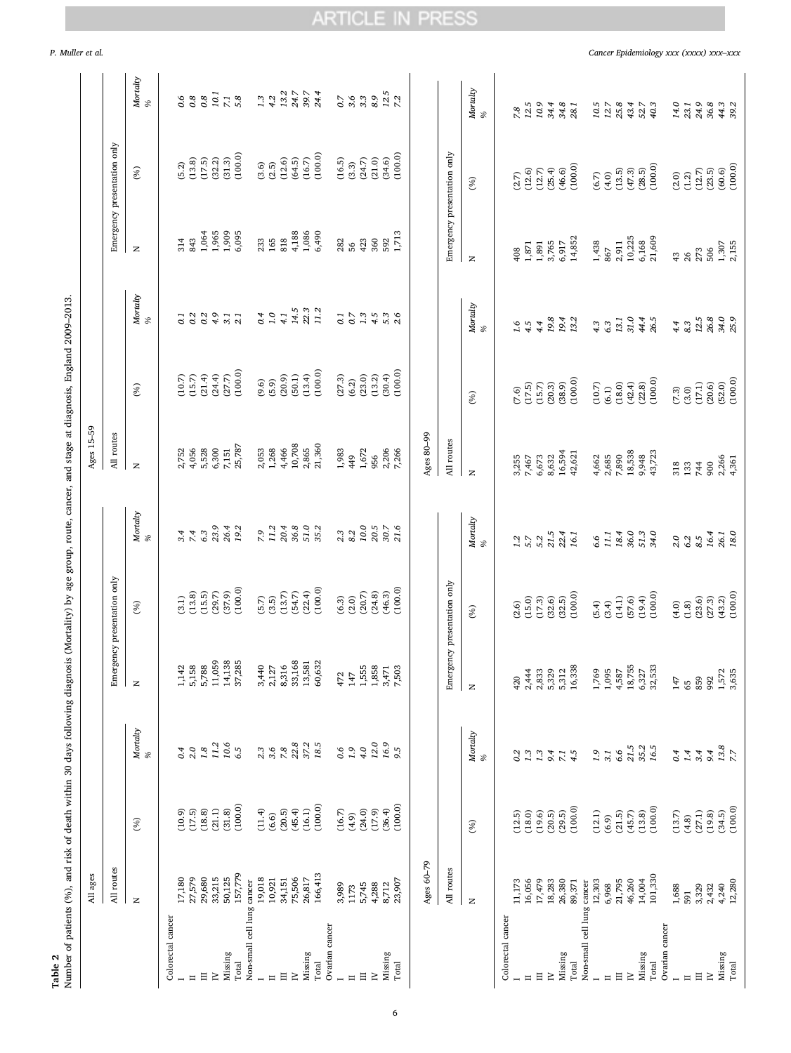| P. Muller et al. |  |  |
|------------------|--|--|
|                  |  |  |

Table 2

# ARTICLE IN PRESS

P. Muller et al. *Cancer Epidemiology xxx (xxxx) xxx–xxx*

<span id="page-5-0"></span>

|                            | All ages                   |                      | Number of patients (%), and risk of death within 30 days following diagnosis (Mortality) by age group, route, cancer, and stage at diagnosis, England 2009-2013 |                             |                                              |                                             | Ages 15-59              |                                  |                            |                                          |                                               |               |
|----------------------------|----------------------------|----------------------|-----------------------------------------------------------------------------------------------------------------------------------------------------------------|-----------------------------|----------------------------------------------|---------------------------------------------|-------------------------|----------------------------------|----------------------------|------------------------------------------|-----------------------------------------------|---------------|
|                            | routes<br>$\Xi$            |                      |                                                                                                                                                                 |                             | Emergency presentation only                  |                                             | All routes              |                                  |                            |                                          | Emergency presentation only                   |               |
|                            | $\mathbf{z}$               | (%)                  | Mortalty<br>%                                                                                                                                                   | $\mathbb Z$                 | (96)                                         | Mortalty<br>%                               | $\mathbb Z$             | (%)                              | Mortalty<br>%              | $\mathbb Z$                              | (%)                                           | Mortalty<br>% |
| Colorectal cancer          |                            |                      |                                                                                                                                                                 |                             |                                              |                                             |                         |                                  |                            |                                          |                                               |               |
|                            |                            | (10.9)               | 0.4                                                                                                                                                             | 1,142                       | (3.1)                                        |                                             | 2,752                   |                                  | $\overline{c}$             |                                          | (5.2)                                         |               |
| $\equiv$                   | 17,180<br>27,579<br>29,680 | $(17.5)$<br>$(18.8)$ | 2.0                                                                                                                                                             | 5,158                       | $(13.8)$<br>$(15.5)$<br>$(29.7)$<br>$(37.9)$ | 3.4                                         | 4,056                   | $(10.7)$<br>$(15.7)$<br>$(21.4)$ | $0.3901$<br>$0.491$        | 314<br>843                               | (13.8)                                        |               |
| $\equiv$                   |                            |                      | $1.8\,$                                                                                                                                                         | 5,788                       |                                              | 6.3                                         | 5,528<br>6,300<br>7,151 |                                  |                            |                                          | (17.5)<br>(32.2)<br>(31.3)                    |               |
| $\geq$                     | 33,215                     | $(21.1)$<br>$(31.8)$ | 11.2                                                                                                                                                            | 11,059                      |                                              | 23.9<br>26.4                                |                         | $(24.4)$<br>$(27.7)$             |                            |                                          |                                               | 10.1          |
| Missing                    | 50,125                     |                      | 10.6                                                                                                                                                            | 14,138                      |                                              |                                             |                         |                                  |                            | $1,964$<br>$1,965$<br>$1,909$<br>$6,095$ |                                               | $7.1$ $5.8$   |
| Total                      | 157,779                    | (100.0)              | 6.5                                                                                                                                                             | 37,285                      | (100.0)                                      | 19.2                                        | 25,787                  | (100.0)                          |                            |                                          | (100.0)                                       |               |
| Non-small cell lung cancer |                            |                      |                                                                                                                                                                 |                             |                                              |                                             |                         |                                  |                            |                                          |                                               |               |
|                            | 19,018                     | (11.4)               | 2.3                                                                                                                                                             | 3,440                       | $(5.7)$<br>$(3.5)$                           | $7.9$<br>11.2                               | 2,053<br>1,268<br>4,466 | $(9.6)$<br>$(5.9)$<br>$(20.9)$   | $0.4$<br>4.1<br>4.1        | 233<br>165                               | $\begin{array}{c} (3.5) \\ (2.5) \end{array}$ | $1.3$<br>4.2  |
| $\equiv$                   | 10,921                     | (6.6)                | 3.6                                                                                                                                                             | 2,127                       |                                              |                                             |                         |                                  |                            |                                          |                                               |               |
| $\Xi$                      | 34,151                     | (20.5)               | 7.8                                                                                                                                                             | 8,316                       | (13.7)                                       | $20.4$<br>$36.8$                            |                         |                                  |                            | 818                                      | (12.6)                                        | 13.2          |
| $\geq$                     | 75,506<br>26,817           | (45.4)               | 22.8                                                                                                                                                            | 33,168                      | (54.7)                                       |                                             | 10,708                  | (50.1)                           | 14.5                       | $4,188$<br>$1,086$                       | $(64.5)$<br>(16.7)                            | 24.7<br>39.7  |
| Missing                    |                            | (16.1)               | 37.2                                                                                                                                                            | 13,581                      | (22.4)                                       | 51.0<br>35.2                                | 2,865                   | (13.4)                           | 22.3<br>11.2               |                                          |                                               |               |
| Total                      | 166,413                    | (100.0)              | 18.5                                                                                                                                                            | 60,632                      | (100.0)                                      |                                             | 21,360                  | (100.0)                          |                            | 6,490                                    | (100.0)                                       | 24.4          |
| Ovarian cancer             |                            |                      |                                                                                                                                                                 |                             |                                              |                                             |                         |                                  |                            |                                          |                                               |               |
|                            | 3,989                      | (16.7)               | $0.6$<br>1.9                                                                                                                                                    | 472                         | $(6.3)$<br>$(2.0)$                           | $2.3\,$ $8.2\,$                             | 1,983                   | (27.3)                           |                            | 282<br>56                                | (16.5)                                        |               |
| $\equiv$                   | 1173                       | (4.9)                |                                                                                                                                                                 | 147                         |                                              |                                             | 449                     | (6.2)                            |                            |                                          | $(3.3)$                                       |               |
| $\Xi$                      | 5,745                      | (24.0)               | 4.0                                                                                                                                                             | 1,555                       | (20.7)                                       | 10.0                                        | 1,672                   | (23.0)                           | $0.775500$<br>$0.74500$    | 423                                      | (24.7)                                        | 0.76980       |
| $\geq$                     | 4,288                      | (17.9)               | 12.0                                                                                                                                                            | 1,858                       | (24.8)                                       | $20.5$<br>$30.7$                            | 956                     | (13.2)                           |                            | 360                                      | (21.0)                                        |               |
| Missing                    | 8,712                      | (36.4)               | 16.9<br>9.5                                                                                                                                                     | $3,471$<br>7,503            | (46.3)                                       |                                             | 2,206<br>7,266          | (30.4)                           |                            | 592                                      | (34.6)                                        | $12.5$<br>7.2 |
| Total                      | 23,907                     | (100.0)              |                                                                                                                                                                 |                             | (100.0)                                      | 21.6                                        |                         | (100.0)                          |                            | 1,713                                    | (100.0)                                       |               |
|                            | Ages 60-79                 |                      |                                                                                                                                                                 |                             |                                              |                                             | Ages 80-99              |                                  |                            |                                          |                                               |               |
|                            | All routes                 |                      |                                                                                                                                                                 | Emergency presentation only |                                              |                                             | All routes              |                                  |                            | Emergency presentation only              |                                               |               |
|                            |                            |                      |                                                                                                                                                                 |                             |                                              |                                             |                         |                                  |                            |                                          |                                               |               |
|                            | $\mathbf{z}$               | (%)                  | Mortalty<br>%                                                                                                                                                   | $\mathbb{Z}$                | (%)                                          | Mortalty<br>%                               | $\mathbb{Z}$            | (%)                              | Mortalty<br>%              | $\mathbb{Z}$                             | (%)                                           | Mortalty<br>% |
| Colorectal cancer          |                            |                      |                                                                                                                                                                 |                             |                                              |                                             |                         |                                  |                            |                                          |                                               |               |
|                            | 11,173                     | (12.5)               | 0.2                                                                                                                                                             | 420                         | (2.6)                                        | 1.2                                         | 3,255                   | (7.6)                            |                            | 408                                      | (2.7)                                         | 7.8           |
|                            | 16,056                     | (18.0)               |                                                                                                                                                                 | 2,444                       | (15.0)                                       |                                             | 7,467                   |                                  |                            | 1,871                                    | (12.6)                                        | 12.5          |
| $\Xi$                      | 17,479                     | (19.6)               | 1.3                                                                                                                                                             | 2,833                       | (17.3)                                       | $5.7$<br>$5.2$                              | 6,673                   | $(17.5)$<br>$(15.7)$             | $1.56$<br>$4.5$            | 1,891                                    | (12.7)                                        | 10.9          |
| $\geq$                     | 18,283<br>26,380           | (20.5)               | 9.4                                                                                                                                                             | 5,329                       | (32.6)                                       | 21.5                                        | 8,632                   | (20.3)                           | $19.8$<br>$19.4$<br>$13.2$ | 3,765                                    | (25.4)                                        | 34.4          |
| Missing                    |                            | (29.5)               | $\overline{z}$                                                                                                                                                  | 5,312                       | (32.5)                                       | 22.4                                        | 16,594                  | (38.9)                           |                            | 6,917                                    | (46.6)                                        | 34.8          |
| Total                      | 89,371                     | (100.0)              | 4.5                                                                                                                                                             | 16,338                      | (100.0)                                      | 16.1                                        | 42,621                  | (100.0)                          |                            | 14,852                                   | (100.0)                                       | 28.1          |
| Non-small cell lung cancer |                            |                      |                                                                                                                                                                 |                             |                                              |                                             |                         |                                  |                            |                                          |                                               |               |
| $\equiv$                   | 12,303                     | (12.1)<br>(6.9)      | $1.9$<br>3.1                                                                                                                                                    | 1,095<br>1,769              | (5.4)<br>(3.4)                               | 11.1<br>6.6                                 | 2,685<br>4,662          | $(10.7)$<br>(6.1)                | $4.3$<br>$6.3$             | 1,438<br>867                             | $(6.7)$<br>$(4.0)$<br>$(13.5)$                | $10.5$ $12.7$ |
| $\Xi$                      | 21,795<br>6,968            | (21.5)               | 6.6                                                                                                                                                             | 4,587                       | (14.1)                                       | 18.4                                        | 7,890                   | $(18.0)$                         | 13.1                       | 2,911                                    |                                               | 25.8          |
| $\geq$                     | 46,260                     | (45.7)               | 21.5                                                                                                                                                            | 18,755                      | (57.6)                                       | 36.0                                        | 18,538                  | (42.4)                           | 31.0                       | 10,225                                   | (47.3)                                        | 43.4          |
| Missing                    | 14,004                     | (13.8)               | 35.2                                                                                                                                                            | 6,327                       | (19.4)                                       |                                             | 9,948                   | (22.8)                           | 44.4                       | 6,168                                    | (28.5)                                        | 52.7          |
| Total                      | 101,330                    | (100.0)              | 16.5                                                                                                                                                            | 32,533                      | (100.0)                                      | $\begin{array}{c} 51.3 \\ 34.0 \end{array}$ | 43,723                  | (100.0)                          | 26.5                       | 21,609                                   | (100.0)                                       | 40.3          |
| Ovarian cancer             |                            |                      |                                                                                                                                                                 |                             |                                              |                                             |                         |                                  |                            |                                          |                                               |               |
|                            | 1,688                      | (13.7)               | 0.4                                                                                                                                                             | 147                         | (4.0)                                        |                                             | 318                     | $(7.3)$                          | $4.4$<br>8.3               | $43\,$                                   | (2.0)                                         | 14.0          |
| $\Xi$<br>$\equiv$          | 3,329<br>591               | (27.1)<br>(4.8)      | 3.4<br>1.4                                                                                                                                                      | 859<br>65                   | (23.6)<br>$(1.8)$                            | 2.000000000                                 | 744<br>133              | (17.1)<br>(3.0)                  | $12.5\,$                   | 273<br>26                                | (12.7)<br>$(1.2)$                             | 24.9<br>23.1  |
| $\simeq$                   | 2,432                      | (19.8)               | 9.4                                                                                                                                                             | 992                         | (27.3)                                       | 16.4                                        | 900                     | (20.6)                           |                            | 506                                      | (23.5)                                        | $36.8\,$      |
| Missing                    |                            | (34.5)               | $13.8\,$                                                                                                                                                        |                             | (43.2)                                       | 26.1                                        |                         | (52.0)                           |                            |                                          |                                               |               |
| Total                      | 4,240<br>12,280            | (100.0)              |                                                                                                                                                                 | 1,572<br>3,635              | (100.0)                                      | 18.0                                        | 2,266<br>4,361          | (100.0)                          | 26.8<br>34.0<br>25.9       | 1,307<br>2,155                           | $(60.6)$<br>$(100.0)$                         | 44.3<br>39.2  |
|                            |                            |                      |                                                                                                                                                                 |                             |                                              |                                             |                         |                                  |                            |                                          |                                               |               |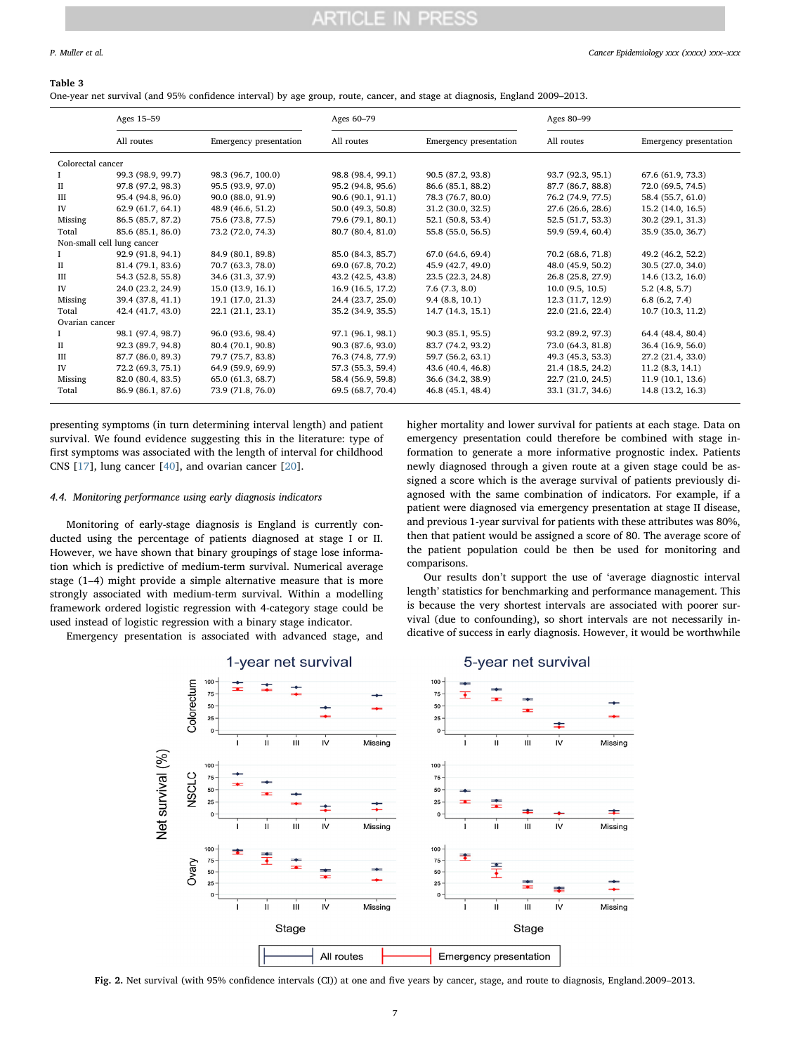#### <span id="page-6-0"></span>Table 3

One-year net survival (and 95% confidence interval) by age group, route, cancer, and stage at diagnosis, England 2009–2013.

|                            | Ages 15-59        |                        | Ages 60-79        |                        | Ages 80-99        |                        |
|----------------------------|-------------------|------------------------|-------------------|------------------------|-------------------|------------------------|
|                            | All routes        | Emergency presentation | All routes        | Emergency presentation | All routes        | Emergency presentation |
| Colorectal cancer          |                   |                        |                   |                        |                   |                        |
|                            | 99.3 (98.9, 99.7) | 98.3 (96.7, 100.0)     | 98.8 (98.4, 99.1) | 90.5 (87.2, 93.8)      | 93.7 (92.3, 95.1) | 67.6 (61.9, 73.3)      |
| П                          | 97.8 (97.2, 98.3) | 95.5 (93.9, 97.0)      | 95.2 (94.8, 95.6) | 86.6 (85.1, 88.2)      | 87.7 (86.7, 88.8) | 72.0 (69.5, 74.5)      |
| Ш                          | 95.4 (94.8, 96.0) | 90.0 (88.0, 91.9)      | 90.6 (90.1, 91.1) | 78.3 (76.7, 80.0)      | 76.2 (74.9, 77.5) | 58.4 (55.7, 61.0)      |
| IV                         | 62.9 (61.7, 64.1) | 48.9 (46.6, 51.2)      | 50.0 (49.3, 50.8) | 31.2(30.0, 32.5)       | 27.6 (26.6, 28.6) | 15.2 (14.0, 16.5)      |
| Missing                    | 86.5 (85.7, 87.2) | 75.6 (73.8, 77.5)      | 79.6 (79.1, 80.1) | 52.1 (50.8, 53.4)      | 52.5 (51.7, 53.3) | 30.2(29.1, 31.3)       |
| Total                      | 85.6 (85.1, 86.0) | 73.2 (72.0, 74.3)      | 80.7 (80.4, 81.0) | 55.8 (55.0, 56.5)      | 59.9 (59.4, 60.4) | 35.9 (35.0, 36.7)      |
| Non-small cell lung cancer |                   |                        |                   |                        |                   |                        |
| Ι.                         | 92.9 (91.8, 94.1) | 84.9 (80.1, 89.8)      | 85.0 (84.3, 85.7) | 67.0 (64.6, 69.4)      | 70.2 (68.6, 71.8) | 49.2 (46.2, 52.2)      |
| $_{\rm II}$                | 81.4 (79.1, 83.6) | 70.7 (63.3, 78.0)      | 69.0 (67.8, 70.2) | 45.9 (42.7, 49.0)      | 48.0 (45.9, 50.2) | 30.5(27.0, 34.0)       |
| Ш                          | 54.3 (52.8, 55.8) | 34.6 (31.3, 37.9)      | 43.2 (42.5, 43.8) | 23.5 (22.3, 24.8)      | 26.8 (25.8, 27.9) | 14.6 (13.2, 16.0)      |
| IV                         | 24.0 (23.2, 24.9) | 15.0 (13.9, 16.1)      | 16.9 (16.5, 17.2) | 7.6(7.3, 8.0)          | 10.0(9.5, 10.5)   | 5.2(4.8, 5.7)          |
| Missing                    | 39.4 (37.8, 41.1) | 19.1 (17.0, 21.3)      | 24.4 (23.7, 25.0) | 9.4(8.8, 10.1)         | 12.3 (11.7, 12.9) | 6.8(6.2, 7.4)          |
| Total                      | 42.4 (41.7, 43.0) | 22.1 (21.1, 23.1)      | 35.2 (34.9, 35.5) | 14.7 (14.3, 15.1)      | 22.0 (21.6, 22.4) | 10.7(10.3, 11.2)       |
| Ovarian cancer             |                   |                        |                   |                        |                   |                        |
| L                          | 98.1 (97.4, 98.7) | 96.0 (93.6, 98.4)      | 97.1 (96.1, 98.1) | 90.3 (85.1, 95.5)      | 93.2 (89.2, 97.3) | 64.4 (48.4, 80.4)      |
| $_{\rm II}$                | 92.3 (89.7, 94.8) | 80.4 (70.1, 90.8)      | 90.3 (87.6, 93.0) | 83.7 (74.2, 93.2)      | 73.0 (64.3, 81.8) | 36.4 (16.9, 56.0)      |
| Ш                          | 87.7 (86.0, 89.3) | 79.7 (75.7, 83.8)      | 76.3 (74.8, 77.9) | 59.7 (56.2, 63.1)      | 49.3 (45.3, 53.3) | 27.2 (21.4, 33.0)      |
| IV                         | 72.2 (69.3, 75.1) | 64.9 (59.9, 69.9)      | 57.3 (55.3, 59.4) | 43.6 (40.4, 46.8)      | 21.4 (18.5, 24.2) | 11.2(8.3, 14.1)        |
| Missing                    | 82.0 (80.4, 83.5) | 65.0 (61.3, 68.7)      | 58.4 (56.9, 59.8) | 36.6 (34.2, 38.9)      | 22.7 (21.0, 24.5) | 11.9(10.1, 13.6)       |
| Total                      | 86.9 (86.1, 87.6) | 73.9 (71.8, 76.0)      | 69.5 (68.7, 70.4) | 46.8 (45.1, 48.4)      | 33.1 (31.7, 34.6) | 14.8 (13.2, 16.3)      |

presenting symptoms (in turn determining interval length) and patient survival. We found evidence suggesting this in the literature: type of first symptoms was associated with the length of interval for childhood CNS [[17\]](#page-8-23), lung cancer [\[40](#page-8-22)], and ovarian cancer [\[20](#page-8-18)].

#### 4.4. Monitoring performance using early diagnosis indicators

Monitoring of early-stage diagnosis is England is currently conducted using the percentage of patients diagnosed at stage I or II. However, we have shown that binary groupings of stage lose information which is predictive of medium-term survival. Numerical average stage (1–4) might provide a simple alternative measure that is more strongly associated with medium-term survival. Within a modelling framework ordered logistic regression with 4-category stage could be used instead of logistic regression with a binary stage indicator.

<span id="page-6-1"></span>Emergency presentation is associated with advanced stage, and

higher mortality and lower survival for patients at each stage. Data on emergency presentation could therefore be combined with stage information to generate a more informative prognostic index. Patients newly diagnosed through a given route at a given stage could be assigned a score which is the average survival of patients previously diagnosed with the same combination of indicators. For example, if a patient were diagnosed via emergency presentation at stage II disease, and previous 1-year survival for patients with these attributes was 80%, then that patient would be assigned a score of 80. The average score of the patient population could be then be used for monitoring and comparisons.

Our results don't support the use of 'average diagnostic interval length' statistics for benchmarking and performance management. This is because the very shortest intervals are associated with poorer survival (due to confounding), so short intervals are not necessarily indicative of success in early diagnosis. However, it would be worthwhile



Fig. 2. Net survival (with 95% confidence intervals (CI)) at one and five years by cancer, stage, and route to diagnosis, England.2009–2013.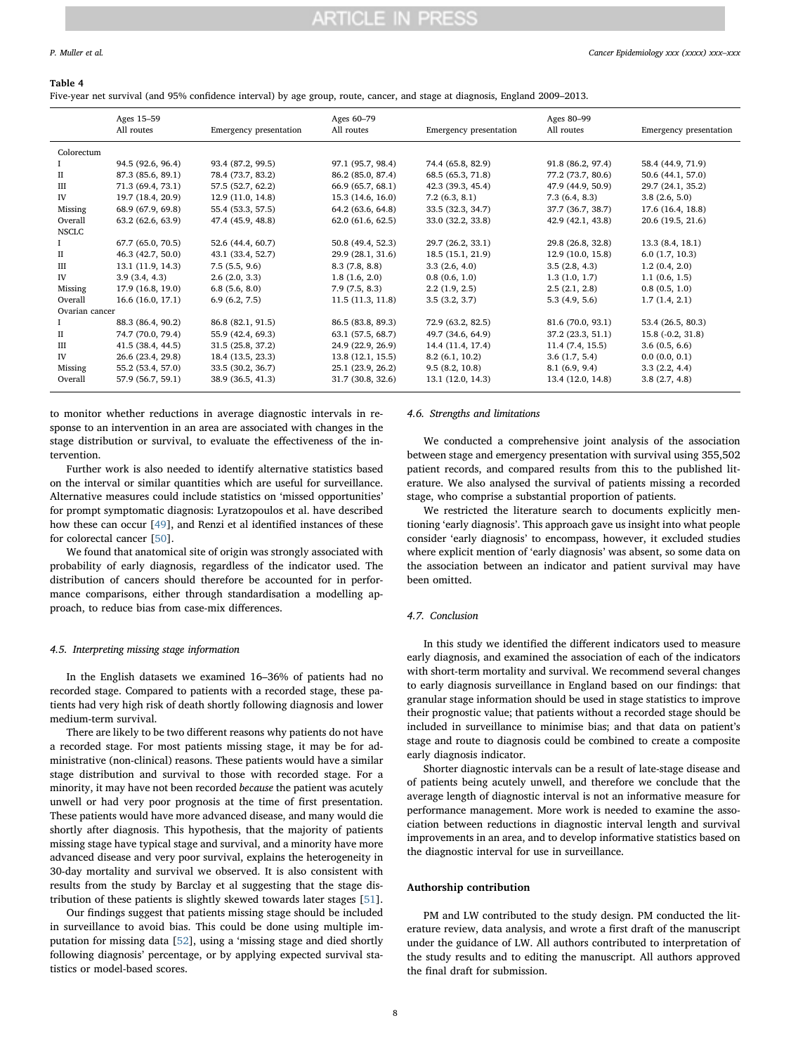#### P. Muller et al. *Cancer Epidemiology xxx (xxxx) xxx–xxx*

#### <span id="page-7-0"></span>Table 4

Five-year net survival (and 95% confidence interval) by age group, route, cancer, and stage at diagnosis, England 2009–2013.

|                | Ages 15-59<br>All routes | Emergency presentation | Ages 60-79<br>All routes | Emergency presentation | Ages 80-99<br>All routes | Emergency presentation |
|----------------|--------------------------|------------------------|--------------------------|------------------------|--------------------------|------------------------|
| Colorectum     |                          |                        |                          |                        |                          |                        |
| L              | 94.5 (92.6, 96.4)        | 93.4 (87.2, 99.5)      | 97.1 (95.7, 98.4)        | 74.4 (65.8, 82.9)      | 91.8 (86.2, 97.4)        | 58.4 (44.9, 71.9)      |
| П              | 87.3 (85.6, 89.1)        | 78.4 (73.7, 83.2)      | 86.2 (85.0, 87.4)        | 68.5 (65.3, 71.8)      | 77.2 (73.7, 80.6)        | 50.6 (44.1, 57.0)      |
| III            | 71.3 (69.4, 73.1)        | 57.5 (52.7, 62.2)      | 66.9 (65.7, 68.1)        | 42.3 (39.3, 45.4)      | 47.9 (44.9, 50.9)        | 29.7 (24.1, 35.2)      |
| IV             | 19.7 (18.4, 20.9)        | 12.9 (11.0, 14.8)      | 15.3(14.6, 16.0)         | 7.2(6.3, 8.1)          | 7.3(6.4, 8.3)            | 3.8(2.6, 5.0)          |
| Missing        | 68.9 (67.9, 69.8)        | 55.4 (53.3, 57.5)      | 64.2 (63.6, 64.8)        | 33.5 (32.3, 34.7)      | 37.7 (36.7, 38.7)        | 17.6 (16.4, 18.8)      |
| Overall        | 63.2 (62.6, 63.9)        | 47.4 (45.9, 48.8)      | 62.0(61.6, 62.5)         | 33.0 (32.2, 33.8)      | 42.9 (42.1, 43.8)        | 20.6 (19.5, 21.6)      |
| <b>NSCLC</b>   |                          |                        |                          |                        |                          |                        |
|                | 67.7 (65.0, 70.5)        | 52.6 (44.4, 60.7)      | 50.8 (49.4, 52.3)        | 29.7 (26.2, 33.1)      | 29.8 (26.8, 32.8)        | 13.3(8.4, 18.1)        |
| П              | 46.3 (42.7, 50.0)        | 43.1 (33.4, 52.7)      | 29.9 (28.1, 31.6)        | 18.5 (15.1, 21.9)      | 12.9(10.0, 15.8)         | 6.0(1.7, 10.3)         |
| III            | 13.1 (11.9, 14.3)        | 7.5(5.5, 9.6)          | 8.3(7.8, 8.8)            | 3.3(2.6, 4.0)          | 3.5(2.8, 4.3)            | 1.2(0.4, 2.0)          |
| IV             | 3.9(3.4, 4.3)            | 2.6(2.0, 3.3)          | 1.8(1.6, 2.0)            | 0.8(0.6, 1.0)          | 1.3(1.0, 1.7)            | 1.1(0.6, 1.5)          |
| Missing        | 17.9 (16.8, 19.0)        | 6.8(5.6, 8.0)          | 7.9(7.5, 8.3)            | 2.2(1.9, 2.5)          | 2.5(2.1, 2.8)            | 0.8(0.5, 1.0)          |
| Overall        | 16.6 (16.0, 17.1)        | 6.9(6.2, 7.5)          | 11.5(11.3, 11.8)         | 3.5(3.2, 3.7)          | 5.3(4.9, 5.6)            | 1.7(1.4, 2.1)          |
| Ovarian cancer |                          |                        |                          |                        |                          |                        |
| $\mathbf{I}$   | 88.3 (86.4, 90.2)        | 86.8 (82.1, 91.5)      | 86.5 (83.8, 89.3)        | 72.9 (63.2, 82.5)      | 81.6 (70.0, 93.1)        | 53.4 (26.5, 80.3)      |
| П              | 74.7 (70.0, 79.4)        | 55.9 (42.4, 69.3)      | 63.1 (57.5, 68.7)        | 49.7 (34.6, 64.9)      | 37.2 (23.3, 51.1)        | 15.8 (-0.2, 31.8)      |
| Ш              | 41.5 (38.4, 44.5)        | 31.5 (25.8, 37.2)      | 24.9 (22.9, 26.9)        | 14.4 (11.4, 17.4)      | 11.4(7.4, 15.5)          | 3.6(0.5, 6.6)          |
| IV             | 26.6 (23.4, 29.8)        | 18.4 (13.5, 23.3)      | 13.8(12.1, 15.5)         | 8.2(6.1, 10.2)         | 3.6(1.7, 5.4)            | 0.0(0.0, 0.1)          |
| Missing        | 55.2 (53.4, 57.0)        | 33.5 (30.2, 36.7)      | 25.1 (23.9, 26.2)        | 9.5(8.2, 10.8)         | 8.1(6.9, 9.4)            | 3.3(2.2, 4.4)          |
| Overall        | 57.9 (56.7, 59.1)        | 38.9 (36.5, 41.3)      | 31.7 (30.8, 32.6)        | 13.1 (12.0, 14.3)      | 13.4 (12.0, 14.8)        | 3.8(2.7, 4.8)          |

to monitor whether reductions in average diagnostic intervals in response to an intervention in an area are associated with changes in the stage distribution or survival, to evaluate the effectiveness of the intervention.

Further work is also needed to identify alternative statistics based on the interval or similar quantities which are useful for surveillance. Alternative measures could include statistics on 'missed opportunities' for prompt symptomatic diagnosis: Lyratzopoulos et al. have described how these can occur [\[49](#page-9-0)], and Renzi et al identified instances of these for colorectal cancer [[50\]](#page-9-3).

We found that anatomical site of origin was strongly associated with probability of early diagnosis, regardless of the indicator used. The distribution of cancers should therefore be accounted for in performance comparisons, either through standardisation a modelling approach, to reduce bias from case-mix differences.

#### 4.5. Interpreting missing stage information

In the English datasets we examined 16–36% of patients had no recorded stage. Compared to patients with a recorded stage, these patients had very high risk of death shortly following diagnosis and lower medium-term survival.

There are likely to be two different reasons why patients do not have a recorded stage. For most patients missing stage, it may be for administrative (non-clinical) reasons. These patients would have a similar stage distribution and survival to those with recorded stage. For a minority, it may have not been recorded because the patient was acutely unwell or had very poor prognosis at the time of first presentation. These patients would have more advanced disease, and many would die shortly after diagnosis. This hypothesis, that the majority of patients missing stage have typical stage and survival, and a minority have more advanced disease and very poor survival, explains the heterogeneity in 30-day mortality and survival we observed. It is also consistent with results from the study by Barclay et al suggesting that the stage distribution of these patients is slightly skewed towards later stages [\[51](#page-9-4)].

Our findings suggest that patients missing stage should be included in surveillance to avoid bias. This could be done using multiple imputation for missing data [\[52](#page-9-5)], using a 'missing stage and died shortly following diagnosis' percentage, or by applying expected survival statistics or model-based scores.

#### 4.6. Strengths and limitations

We conducted a comprehensive joint analysis of the association between stage and emergency presentation with survival using 355,502 patient records, and compared results from this to the published literature. We also analysed the survival of patients missing a recorded stage, who comprise a substantial proportion of patients.

We restricted the literature search to documents explicitly mentioning 'early diagnosis'. This approach gave us insight into what people consider 'early diagnosis' to encompass, however, it excluded studies where explicit mention of 'early diagnosis' was absent, so some data on the association between an indicator and patient survival may have been omitted.

#### 4.7. Conclusion

In this study we identified the different indicators used to measure early diagnosis, and examined the association of each of the indicators with short-term mortality and survival. We recommend several changes to early diagnosis surveillance in England based on our findings: that granular stage information should be used in stage statistics to improve their prognostic value; that patients without a recorded stage should be included in surveillance to minimise bias; and that data on patient's stage and route to diagnosis could be combined to create a composite early diagnosis indicator.

Shorter diagnostic intervals can be a result of late-stage disease and of patients being acutely unwell, and therefore we conclude that the average length of diagnostic interval is not an informative measure for performance management. More work is needed to examine the association between reductions in diagnostic interval length and survival improvements in an area, and to develop informative statistics based on the diagnostic interval for use in surveillance.

#### Authorship contribution

PM and LW contributed to the study design. PM conducted the literature review, data analysis, and wrote a first draft of the manuscript under the guidance of LW. All authors contributed to interpretation of the study results and to editing the manuscript. All authors approved the final draft for submission.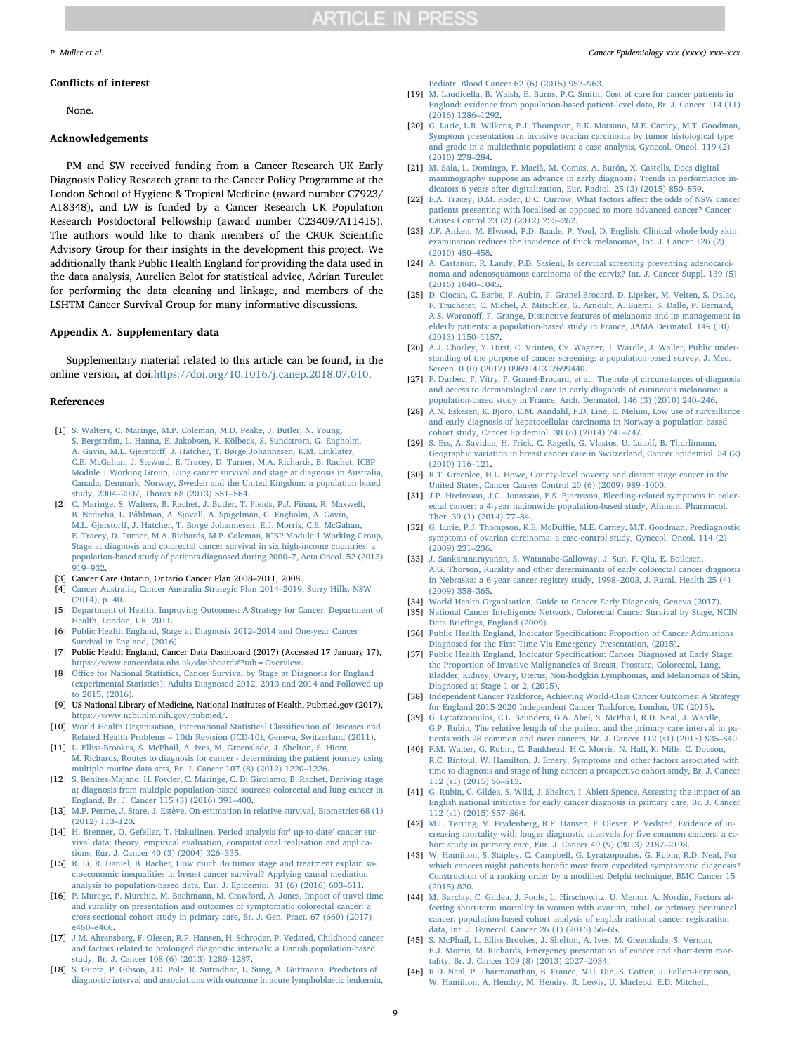#### Conflicts of interest

None.

#### Acknowledgements

PM and SW received funding from a Cancer Research UK Early Diagnosis Policy Research grant to the Cancer Policy Programme at the London School of Hygiene & Tropical Medicine (award number C7923/ A18348), and LW is funded by a Cancer Research UK Population Research Postdoctoral Fellowship (award number C23409/A11415). The authors would like to thank members of the CRUK Scientific Advisory Group for their insights in the development this project. We additionally thank Public Health England for providing the data used in the data analysis, Aurelien Belot for statistical advice, Adrian Turculet for performing the data cleaning and linkage, and members of the LSHTM Cancer Survival Group for many informative discussions.

#### Appendix A. Supplementary data

Supplementary material related to this article can be found, in the online version, at doi:[https://doi.org/10.1016/j.canep.2018.07.010.](https://doi.org/10.1016/j.canep.2018.07.010)

#### References

- <span id="page-8-0"></span>[1] [S. Walters, C. Maringe, M.P. Coleman, M.D. Peake, J. Butler, N. Young,](http://refhub.elsevier.com/S1877-7821(18)30368-0/sbref0005) [S. Bergström, L. Hanna, E. Jakobsen, K. Kölbeck, S. Sundstrøm, G. Engholm,](http://refhub.elsevier.com/S1877-7821(18)30368-0/sbref0005) A. Gavin, M.L. Gjerstorff[, J. Hatcher, T. Børge Johannesen, K.M. Linklater,](http://refhub.elsevier.com/S1877-7821(18)30368-0/sbref0005) [C.E. McGahan, J. Steward, E. Tracey, D. Turner, M.A. Richards, B. Rachet, ICBP](http://refhub.elsevier.com/S1877-7821(18)30368-0/sbref0005) [Module 1 Working Group, Lung cancer survival and stage at diagnosis in Australia,](http://refhub.elsevier.com/S1877-7821(18)30368-0/sbref0005) [Canada, Denmark, Norway, Sweden and the United Kingdom: a population-based](http://refhub.elsevier.com/S1877-7821(18)30368-0/sbref0005) study, 2004–[2007, Thorax 68 \(2013\) 551](http://refhub.elsevier.com/S1877-7821(18)30368-0/sbref0005)–564.
- [2] [C. Maringe, S. Walters, B. Rachet, J. Butler, T. Fields, P.J. Finan, R. Maxwell,](http://refhub.elsevier.com/S1877-7821(18)30368-0/sbref0010) [B. Nedrebø, L. Påhlman, A. Sjövall, A. Spigelman, G. Engholm, A. Gavin,](http://refhub.elsevier.com/S1877-7821(18)30368-0/sbref0010) M.L. Gjerstorff[, J. Hatcher, T. Borge Johannesen, E.J. Morris, C.E. McGahan,](http://refhub.elsevier.com/S1877-7821(18)30368-0/sbref0010) [E. Tracey, D. Turner, M.A. Richards, M.P. Coleman, ICBP Module 1 Working Group,](http://refhub.elsevier.com/S1877-7821(18)30368-0/sbref0010) Stage at diagnosis and colorectal cancer survival in six high-income countries: [population-based study of patients diagnosed during 2000](http://refhub.elsevier.com/S1877-7821(18)30368-0/sbref0010)–7, Acta Oncol. 52 (2013) 919–[932.](http://refhub.elsevier.com/S1877-7821(18)30368-0/sbref0010)
- [3] Cancer Care Ontario, Ontario Cancer Plan 2008–2011, 2008.<br>[4] Cancer Australia, Cancer Australia Strategic Plan 2014–2019
- [4] [Cancer Australia, Cancer Australia Strategic Plan 2014](http://refhub.elsevier.com/S1877-7821(18)30368-0/sbref0020)–2019, Surry Hills, NSW [\(2014\), p. 40.](http://refhub.elsevier.com/S1877-7821(18)30368-0/sbref0020)
- [5] [Department of Health, Improving Outcomes: A Strategy for Cancer, Department of](http://refhub.elsevier.com/S1877-7821(18)30368-0/sbref0025) [Health, London, UK, 2011.](http://refhub.elsevier.com/S1877-7821(18)30368-0/sbref0025)
- <span id="page-8-1"></span>[6] [Public Health England, Stage at Diagnosis 2012](http://refhub.elsevier.com/S1877-7821(18)30368-0/sbref0030)–2014 and One-year Cancer [Survival in England, \(2016\).](http://refhub.elsevier.com/S1877-7821(18)30368-0/sbref0030)
- <span id="page-8-2"></span>[7] Public Health England, Cancer Data Dashboard (2017) (Accessed 17 January 17), [https://www.cancerdata.nhs.uk/dashboard#?tab=Overview.](https://www.cancerdata.nhs.uk/dashboard#?tab=Overview)
- <span id="page-8-3"></span>[8] Offi[ce for National Statistics, Cancer Survival by Stage at Diagnosis for England](http://refhub.elsevier.com/S1877-7821(18)30368-0/sbref0040) [\(experimental Statistics\): Adults Diagnosed 2012, 2013 and 2014 and Followed up](http://refhub.elsevier.com/S1877-7821(18)30368-0/sbref0040) [to 2015, \(2016\).](http://refhub.elsevier.com/S1877-7821(18)30368-0/sbref0040)
- <span id="page-8-4"></span>[9] US National Library of Medicine, National Institutes of Health, Pubmed.gov (2017), [https://www.ncbi.nlm.nih.gov/pubmed/.](https://www.ncbi.nlm.nih.gov/pubmed/)
- <span id="page-8-5"></span>[10] [World Health Organisation, International Statistical Classi](http://refhub.elsevier.com/S1877-7821(18)30368-0/sbref0050)fication of Diseases and Related Health Problems – [10th Revision \(ICD-10\), Geneva, Switzerland \(2011\).](http://refhub.elsevier.com/S1877-7821(18)30368-0/sbref0050)
- <span id="page-8-6"></span>[11] [L. Elliss-Brookes, S. McPhail, A. Ives, M. Greenslade, J. Shelton, S. Hiom,](http://refhub.elsevier.com/S1877-7821(18)30368-0/sbref0055) [M. Richards, Routes to diagnosis for cancer - determining the patient journey using](http://refhub.elsevier.com/S1877-7821(18)30368-0/sbref0055) [multiple routine data sets, Br. J. Cancer 107 \(8\) \(2012\) 1220](http://refhub.elsevier.com/S1877-7821(18)30368-0/sbref0055)–1226.
- <span id="page-8-7"></span>[12] [S. Benitez-Majano, H. Fowler, C. Maringe, C. Di Girolamo, B. Rachet, Deriving stage](http://refhub.elsevier.com/S1877-7821(18)30368-0/sbref0060) [at diagnosis from multiple population-based sources: colorectal and lung cancer in](http://refhub.elsevier.com/S1877-7821(18)30368-0/sbref0060) [England, Br. J. Cancer 115 \(3\) \(2016\) 391](http://refhub.elsevier.com/S1877-7821(18)30368-0/sbref0060)–400.
- <span id="page-8-8"></span>[13] [M.P. Perme, J. Stare, J. Estève, On estimation in relative survival, Biometrics 68 \(1\)](http://refhub.elsevier.com/S1877-7821(18)30368-0/sbref0065) [\(2012\) 113](http://refhub.elsevier.com/S1877-7821(18)30368-0/sbref0065)–120.
- <span id="page-8-9"></span>[14] [H. Brenner, O. Gefeller, T. Hakulinen, Period analysis for](http://refhub.elsevier.com/S1877-7821(18)30368-0/sbref0070)' up-to-date' cancer sur[vival data: theory, empirical evaluation, computational realisation and applica](http://refhub.elsevier.com/S1877-7821(18)30368-0/sbref0070)[tions, Eur. J. Cancer 40 \(3\) \(2004\) 326](http://refhub.elsevier.com/S1877-7821(18)30368-0/sbref0070)–335.
- <span id="page-8-14"></span>[15] [R. Li, R. Daniel, B. Rachet, How much do tumor stage and treatment explain so](http://refhub.elsevier.com/S1877-7821(18)30368-0/sbref0075)[cioeconomic inequalities in breast cancer survival? Applying causal mediation](http://refhub.elsevier.com/S1877-7821(18)30368-0/sbref0075) analysis [to population-based data, Eur. J. Epidemiol. 31 \(6\) \(2016\) 603](http://refhub.elsevier.com/S1877-7821(18)30368-0/sbref0075)–611.
- <span id="page-8-10"></span>[16] [P. Murage, P. Murchie, M. Bachmann, M. Crawford, A. Jones, Impact of travel time](http://refhub.elsevier.com/S1877-7821(18)30368-0/sbref0080) [and rurality on presentation and outcomes of symptomatic colorectal cancer: a](http://refhub.elsevier.com/S1877-7821(18)30368-0/sbref0080) [cross-sectional cohort study in primary care, Br. J. Gen. Pract. 67 \(660\) \(2017\)](http://refhub.elsevier.com/S1877-7821(18)30368-0/sbref0080) e460–[e466.](http://refhub.elsevier.com/S1877-7821(18)30368-0/sbref0080)
- <span id="page-8-23"></span>[17] [J.M. Ahrensberg, F. Olesen, R.P. Hansen, H. Schroder, P. Vedsted, Childhood cancer](http://refhub.elsevier.com/S1877-7821(18)30368-0/sbref0085) [and factors related to prolonged diagnostic intervals: a Danish population-based](http://refhub.elsevier.com/S1877-7821(18)30368-0/sbref0085) [study, Br. J. Cancer 108 \(6\) \(2013\) 1280](http://refhub.elsevier.com/S1877-7821(18)30368-0/sbref0085)–1287.
- <span id="page-8-24"></span>[18] [S. Gupta, P. Gibson, J.D. Pole, R. Sutradhar, L. Sung, A. Guttmann, Predictors of](http://refhub.elsevier.com/S1877-7821(18)30368-0/sbref0090) [diagnostic interval and associations with outcome in acute lymphoblastic leukemia,](http://refhub.elsevier.com/S1877-7821(18)30368-0/sbref0090)

#### P. Muller et al. *Cancer Epidemiology xxx (xxxx) xxx–xxx*

[Pediatr. Blood Cancer 62 \(6\) \(2015\) 957](http://refhub.elsevier.com/S1877-7821(18)30368-0/sbref0090)–963.

- <span id="page-8-15"></span>[19] [M. Laudicella, B. Walsh, E. Burns, P.C. Smith, Cost of care for cancer patients in](http://refhub.elsevier.com/S1877-7821(18)30368-0/sbref0095) [England: evidence from population-based patient-level data, Br. J. Cancer 114 \(11\)](http://refhub.elsevier.com/S1877-7821(18)30368-0/sbref0095) [\(2016\) 1286](http://refhub.elsevier.com/S1877-7821(18)30368-0/sbref0095)–1292.
- <span id="page-8-18"></span>[20] [G. Lurie, L.R. Wilkens, P.J. Thompson, R.K. Matsuno, M.E. Carney, M.T. Goodman,](http://refhub.elsevier.com/S1877-7821(18)30368-0/sbref0100) [Symptom presentation in invasive ovarian carcinoma by tumor histological type](http://refhub.elsevier.com/S1877-7821(18)30368-0/sbref0100) [and grade in a multiethnic population: a case analysis, Gynecol. Oncol. 119 \(2\)](http://refhub.elsevier.com/S1877-7821(18)30368-0/sbref0100) [\(2010\) 278](http://refhub.elsevier.com/S1877-7821(18)30368-0/sbref0100)–284.
- <span id="page-8-40"></span>[21] [M. Sala, L. Domingo, F. Macià, M. Comas, A. Burón, X. Castells, Does digital](http://refhub.elsevier.com/S1877-7821(18)30368-0/sbref0105) [mammography suppose an advance in early diagnosis? Trends in performance in](http://refhub.elsevier.com/S1877-7821(18)30368-0/sbref0105)[dicators 6 years after digitalization, Eur. Radiol. 25 \(3\) \(2015\) 850](http://refhub.elsevier.com/S1877-7821(18)30368-0/sbref0105)–859.
- <span id="page-8-12"></span>[22] [E.A. Tracey, D.M. Roder, D.C. Currow, What factors a](http://refhub.elsevier.com/S1877-7821(18)30368-0/sbref0110)ffect the odds of NSW cancer [patients presenting with localised as opposed to more advanced cancer? Cancer](http://refhub.elsevier.com/S1877-7821(18)30368-0/sbref0110) [Causes Control 23 \(2\) \(2012\) 255](http://refhub.elsevier.com/S1877-7821(18)30368-0/sbref0110)–262.
- <span id="page-8-11"></span>[23] [J.F. Aitken, M. Elwood, P.D. Baade, P. Youl, D. English, Clinical whole-body skin](http://refhub.elsevier.com/S1877-7821(18)30368-0/sbref0115) [examination reduces the incidence of thick melanomas, Int. J. Cancer 126 \(2\)](http://refhub.elsevier.com/S1877-7821(18)30368-0/sbref0115) [\(2010\) 450](http://refhub.elsevier.com/S1877-7821(18)30368-0/sbref0115)–458.
- <span id="page-8-28"></span>[24] [A. Castanon, R. Landy, P.D. Sasieni, Is cervical screening preventing adenocarci](http://refhub.elsevier.com/S1877-7821(18)30368-0/sbref0120)[noma and adenosquamous carcinoma of the cervix? Int. J. Cancer Suppl. 139 \(5\)](http://refhub.elsevier.com/S1877-7821(18)30368-0/sbref0120) [\(2016\) 1040](http://refhub.elsevier.com/S1877-7821(18)30368-0/sbref0120)–1045.
- <span id="page-8-30"></span>[25] [D. Ciocan, C. Barbe, F. Aubin, F. Granel-Brocard, D. Lipsker, M. Velten, S. Dalac,](http://refhub.elsevier.com/S1877-7821(18)30368-0/sbref0125) [F. Truchetet, C. Michel, A. Mitschler, G. Arnoult, A. Buemi, S. Dalle, P. Bernard,](http://refhub.elsevier.com/S1877-7821(18)30368-0/sbref0125) A.S. Woronoff[, F. Grange, Distinctive features of melanoma and its management in](http://refhub.elsevier.com/S1877-7821(18)30368-0/sbref0125) [elderly patients: a population-based study in France, JAMA Dermatol. 149 \(10\)](http://refhub.elsevier.com/S1877-7821(18)30368-0/sbref0125) [\(2013\) 1150](http://refhub.elsevier.com/S1877-7821(18)30368-0/sbref0125)–1157.
- <span id="page-8-29"></span>[26] [A.J. Chorley, Y. Hirst, C. Vrinten, Cv. Wagner, J. Wardle, J. Waller, Public under](http://refhub.elsevier.com/S1877-7821(18)30368-0/sbref0130)[standing of the purpose of cancer screening: a population-based survey, J. Med.](http://refhub.elsevier.com/S1877-7821(18)30368-0/sbref0130) [Screen. 0 \(0\) \(2017\) 0969141317699440.](http://refhub.elsevier.com/S1877-7821(18)30368-0/sbref0130)
- <span id="page-8-31"></span>[27] [F. Durbec, F. Vitry, F. Granel-Brocard, et al., The role of circumstances of diagnosis](http://refhub.elsevier.com/S1877-7821(18)30368-0/sbref0135) [and access to dermatological care in early diagnosis of cutaneous melanoma: a](http://refhub.elsevier.com/S1877-7821(18)30368-0/sbref0135) [population-based study in France, Arch. Dermatol. 146 \(3\) \(2010\) 240](http://refhub.elsevier.com/S1877-7821(18)30368-0/sbref0135)–246.
- <span id="page-8-33"></span>[28] [A.N. Eskesen, K. Bjoro, E.M. Aandahl, P.D. Line, E. Melum, Low use of surveillance](http://refhub.elsevier.com/S1877-7821(18)30368-0/sbref0140) [and early diagnosis of hepatocellular carcinoma in Norway-a population-based](http://refhub.elsevier.com/S1877-7821(18)30368-0/sbref0140) [cohort study, Cancer Epidemiol. 38 \(6\) \(2014\) 741](http://refhub.elsevier.com/S1877-7821(18)30368-0/sbref0140)–747.
- <span id="page-8-34"></span>[29] [S. Ess, A. Savidan, H. Frick, C. Rageth, G. Vlastos, U. Lutolf, B. Thurlimann,](http://refhub.elsevier.com/S1877-7821(18)30368-0/sbref0145) [Geographic variation in breast cancer care in Switzerland, Cancer Epidemiol. 34 \(2\)](http://refhub.elsevier.com/S1877-7821(18)30368-0/sbref0145) [\(2010\) 116](http://refhub.elsevier.com/S1877-7821(18)30368-0/sbref0145)–121.
- <span id="page-8-35"></span>[30] R.T. [Greenlee, H.L. Howe, County-level poverty and distant stage cancer in the](http://refhub.elsevier.com/S1877-7821(18)30368-0/sbref0150) [United States, Cancer Causes Control 20 \(6\) \(2009\) 989](http://refhub.elsevier.com/S1877-7821(18)30368-0/sbref0150)–1000.
- <span id="page-8-36"></span>[31] [J.P. Hreinsson, J.G. Jonasson, E.S. Bjornsson, Bleeding-related symptoms in color](http://refhub.elsevier.com/S1877-7821(18)30368-0/sbref0155)[ectal cancer: a 4-year nationwide population-based study, Aliment. Pharmacol.](http://refhub.elsevier.com/S1877-7821(18)30368-0/sbref0155) [Ther. 39 \(1\) \(2014\) 77](http://refhub.elsevier.com/S1877-7821(18)30368-0/sbref0155)–84.
- <span id="page-8-37"></span>[32] G. Lurie, P.J. Thompson, K.E. McDuffi[e, M.E. Carney, M.T. Goodman, Prediagnostic](http://refhub.elsevier.com/S1877-7821(18)30368-0/sbref0160) [symptoms of ovarian carcinoma: a case-control study, Gynecol. Oncol. 114 \(2\)](http://refhub.elsevier.com/S1877-7821(18)30368-0/sbref0160) [\(2009\) 231](http://refhub.elsevier.com/S1877-7821(18)30368-0/sbref0160)–236.
- <span id="page-8-19"></span>[33] [J. Sankaranarayanan, S. Watanabe-Galloway, J. Sun, F. Qiu, E. Boilesen,](http://refhub.elsevier.com/S1877-7821(18)30368-0/sbref0165) [A.G. Thorson, Rurality and other determinants of early colorectal cancer diagnosis](http://refhub.elsevier.com/S1877-7821(18)30368-0/sbref0165) [in Nebraska: a 6-year cancer registry study, 1998](http://refhub.elsevier.com/S1877-7821(18)30368-0/sbref0165)–2003, J. Rural. Health 25 (4) [\(2009\) 358](http://refhub.elsevier.com/S1877-7821(18)30368-0/sbref0165)–365.
- <span id="page-8-20"></span>[34] [World Health Organisation, Guide to Cancer Early Diagnosis, Geneva \(2017\).](http://refhub.elsevier.com/S1877-7821(18)30368-0/sbref0170)
- <span id="page-8-16"></span>[35] [National Cancer Intelligence Network, Colorectal Cancer Survival by Stage, NCIN](http://refhub.elsevier.com/S1877-7821(18)30368-0/sbref0175) Data Briefi[ngs, England \(2009\).](http://refhub.elsevier.com/S1877-7821(18)30368-0/sbref0175)
- <span id="page-8-38"></span>[36] Public Health England, Indicator Specifi[cation: Proportion of Cancer Admissions](http://refhub.elsevier.com/S1877-7821(18)30368-0/sbref0180) [Diagnosed for the First Time Via Emergency Presentation, \(2015\).](http://refhub.elsevier.com/S1877-7821(18)30368-0/sbref0180)
- <span id="page-8-13"></span>[37] Public Health England, Indicator Specifi[cation: Cancer Diagnosed at Early Stage:](http://refhub.elsevier.com/S1877-7821(18)30368-0/sbref0185) [the Proportion of Invasive Malignancies of Breast, Prostate, Colorectal, Lung,](http://refhub.elsevier.com/S1877-7821(18)30368-0/sbref0185) [Bladder, Kidney, Ovary, Uterus, Non-hodgkin Lymphomas, and Melanomas of Skin,](http://refhub.elsevier.com/S1877-7821(18)30368-0/sbref0185) [Diagnosed at Stage 1 or 2, \(2015\).](http://refhub.elsevier.com/S1877-7821(18)30368-0/sbref0185)
- <span id="page-8-17"></span>[38] [Independent Cancer Taskforce, Achieving World-Class Cancer Outcomes: A Strategy](http://refhub.elsevier.com/S1877-7821(18)30368-0/sbref0190) [for England 2015-2020 Independent Cancer Taskforce, London, UK \(2015\).](http://refhub.elsevier.com/S1877-7821(18)30368-0/sbref0190)
- <span id="page-8-21"></span>[39] [G. Lyratzopoulos, C.L. Saunders, G.A. Abel, S. McPhail, R.D. Neal, J. Wardle,](http://refhub.elsevier.com/S1877-7821(18)30368-0/sbref0195) [G.P. Rubin, The relative length of the patient and the primary care interval in pa](http://refhub.elsevier.com/S1877-7821(18)30368-0/sbref0195)[tients with 28 common and rarer cancers, Br. J. Cancer 112 \(s1\) \(2015\) S35](http://refhub.elsevier.com/S1877-7821(18)30368-0/sbref0195)–S40.
- <span id="page-8-22"></span>[40] [F.M. Walter, G. Rubin, C. Bankhead, H.C. Morris, N. Hall, K. Mills, C. Dobson,](http://refhub.elsevier.com/S1877-7821(18)30368-0/sbref0200) [R.C. Rintoul, W. Hamilton, J. Emery, Symptoms and other factors associated with](http://refhub.elsevier.com/S1877-7821(18)30368-0/sbref0200) [time to diagnosis and stage of lung cancer: a prospective cohort study, Br. J. Cancer](http://refhub.elsevier.com/S1877-7821(18)30368-0/sbref0200) [112 \(s1\) \(2015\) S6](http://refhub.elsevier.com/S1877-7821(18)30368-0/sbref0200)–S13.
- <span id="page-8-39"></span>[41] [G. Rubin, C. Gildea, S. Wild, J. Shelton, I. Ablett-Spence, Assessing the impact of an](http://refhub.elsevier.com/S1877-7821(18)30368-0/sbref0205) [English national initiative for early cancer diagnosis in primary care, Br. J. Cancer](http://refhub.elsevier.com/S1877-7821(18)30368-0/sbref0205) [112 \(s1\) \(2015\) S57](http://refhub.elsevier.com/S1877-7821(18)30368-0/sbref0205)–S64.
- <span id="page-8-25"></span>[42] [M.L. Tørring, M. Frydenberg, R.P. Hansen, F. Olesen, P. Vedsted, Evidence of in](http://refhub.elsevier.com/S1877-7821(18)30368-0/sbref0210)[creasing mortality with longer diagnostic intervals for](http://refhub.elsevier.com/S1877-7821(18)30368-0/sbref0210) five common cancers: a co[hort study in primary care, Eur. J. Cancer 49 \(9\) \(2013\) 2187](http://refhub.elsevier.com/S1877-7821(18)30368-0/sbref0210)–2198.
- <span id="page-8-26"></span>[43] [W. Hamilton, S. Stapley, C. Campbell, G. Lyratzopoulos, G. Rubin, R.D. Neal, For](http://refhub.elsevier.com/S1877-7821(18)30368-0/sbref0215) which cancers might patients benefi[t most from expedited symptomatic diagnosis?](http://refhub.elsevier.com/S1877-7821(18)30368-0/sbref0215) [Construction of a ranking order by a modi](http://refhub.elsevier.com/S1877-7821(18)30368-0/sbref0215)fied Delphi technique, BMC Cancer 15 [\(2015\) 820.](http://refhub.elsevier.com/S1877-7821(18)30368-0/sbref0215)
- <span id="page-8-27"></span>[44] M. [Barclay, C. Gildea, J. Poole, L. Hirschowitz, U. Menon, A. Nordin, Factors af](http://refhub.elsevier.com/S1877-7821(18)30368-0/sbref0220)[fecting short-term mortality in women with ovarian, tubal, or primary peritoneal](http://refhub.elsevier.com/S1877-7821(18)30368-0/sbref0220) [cancer: population-based cohort analysis of english national cancer registration](http://refhub.elsevier.com/S1877-7821(18)30368-0/sbref0220) [data, Int. J. Gynecol. Cancer 26 \(1\) \(2016\) 56](http://refhub.elsevier.com/S1877-7821(18)30368-0/sbref0220)–65.
- <span id="page-8-32"></span>[45] [S. McPhail, L. Elliss-Brookes, J. Shelton, A. Ives, M. Greenslade, S. Vernon,](http://refhub.elsevier.com/S1877-7821(18)30368-0/sbref0225) [E.J. Morris, M. Richards, Emergency presentation of cancer and short-term mor](http://refhub.elsevier.com/S1877-7821(18)30368-0/sbref0225)[tality, Br. J. Cancer 109 \(8\) \(2013\) 2027](http://refhub.elsevier.com/S1877-7821(18)30368-0/sbref0225)–2034.
- <span id="page-8-41"></span>[46] [R.D. Neal, P. Tharmanathan, B. France, N.U. Din, S. Cotton, J. Fallon-Ferguson,](http://refhub.elsevier.com/S1877-7821(18)30368-0/sbref0230) [W. Hamilton, A. Hendry, M. Hendry, R. Lewis, U. Macleod, E.D. Mitchell,](http://refhub.elsevier.com/S1877-7821(18)30368-0/sbref0230)